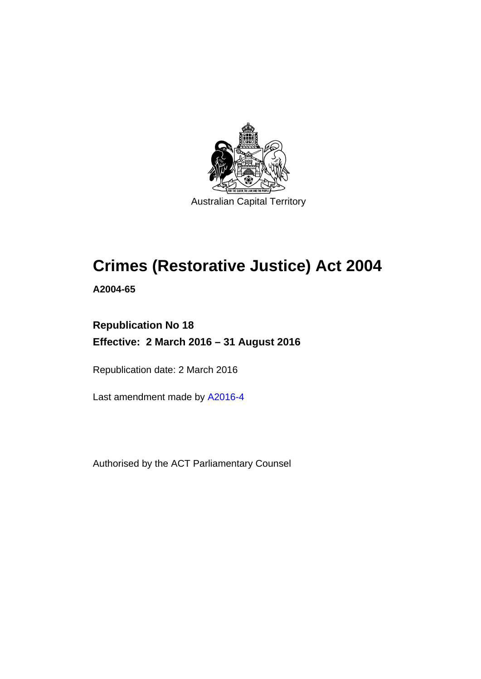

# **Crimes (Restorative Justice) Act 2004**

**A2004-65** 

# **Republication No 18 Effective: 2 March 2016 – 31 August 2016**

Republication date: 2 March 2016

Last amendment made by [A2016-4](http://www.legislation.act.gov.au/a/2016-4)

Authorised by the ACT Parliamentary Counsel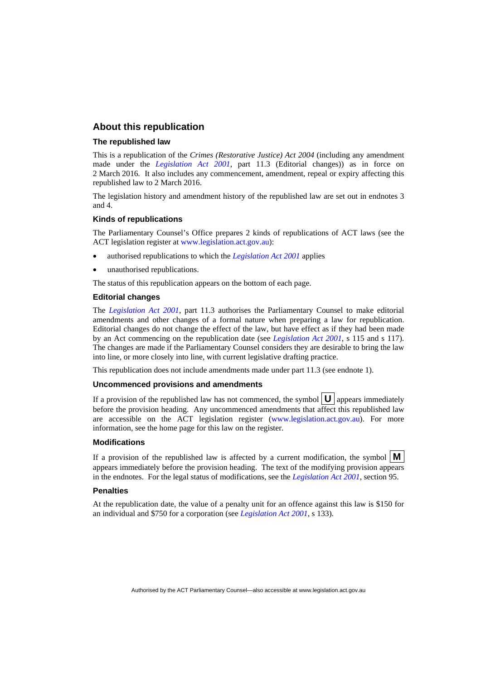### **About this republication**

#### **The republished law**

This is a republication of the *Crimes (Restorative Justice) Act 2004* (including any amendment made under the *[Legislation Act 2001](http://www.legislation.act.gov.au/a/2001-14)*, part 11.3 (Editorial changes)) as in force on 2 March 2016*.* It also includes any commencement, amendment, repeal or expiry affecting this republished law to 2 March 2016.

The legislation history and amendment history of the republished law are set out in endnotes 3 and 4.

#### **Kinds of republications**

The Parliamentary Counsel's Office prepares 2 kinds of republications of ACT laws (see the ACT legislation register at [www.legislation.act.gov.au](http://www.legislation.act.gov.au/)):

- authorised republications to which the *[Legislation Act 2001](http://www.legislation.act.gov.au/a/2001-14)* applies
- unauthorised republications.

The status of this republication appears on the bottom of each page.

#### **Editorial changes**

The *[Legislation Act 2001](http://www.legislation.act.gov.au/a/2001-14)*, part 11.3 authorises the Parliamentary Counsel to make editorial amendments and other changes of a formal nature when preparing a law for republication. Editorial changes do not change the effect of the law, but have effect as if they had been made by an Act commencing on the republication date (see *[Legislation Act 2001](http://www.legislation.act.gov.au/a/2001-14)*, s 115 and s 117). The changes are made if the Parliamentary Counsel considers they are desirable to bring the law into line, or more closely into line, with current legislative drafting practice.

This republication does not include amendments made under part 11.3 (see endnote 1).

#### **Uncommenced provisions and amendments**

If a provision of the republished law has not commenced, the symbol  $\mathbf{U}$  appears immediately before the provision heading. Any uncommenced amendments that affect this republished law are accessible on the ACT legislation register [\(www.legislation.act.gov.au\)](http://www.legislation.act.gov.au/). For more information, see the home page for this law on the register.

#### **Modifications**

If a provision of the republished law is affected by a current modification, the symbol  $\mathbf{M}$ appears immediately before the provision heading. The text of the modifying provision appears in the endnotes. For the legal status of modifications, see the *[Legislation Act 2001](http://www.legislation.act.gov.au/a/2001-14)*, section 95.

#### **Penalties**

At the republication date, the value of a penalty unit for an offence against this law is \$150 for an individual and \$750 for a corporation (see *[Legislation Act 2001](http://www.legislation.act.gov.au/a/2001-14)*, s 133).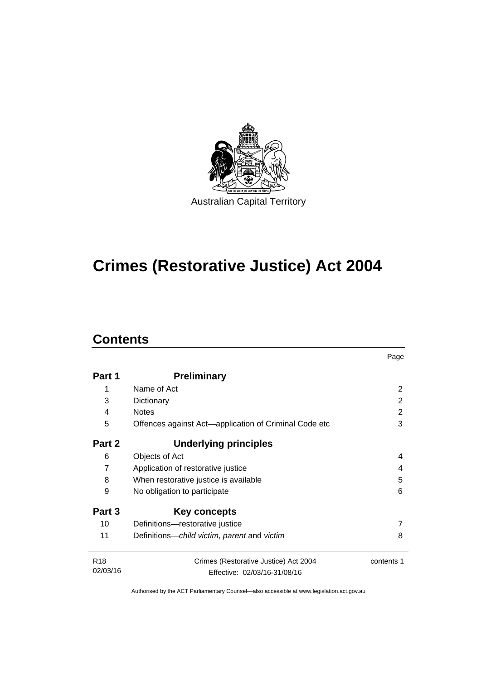

# **Crimes (Restorative Justice) Act 2004**

# **Contents**

j.

|                 |                                                       | Page       |
|-----------------|-------------------------------------------------------|------------|
| Part 1          | <b>Preliminary</b>                                    |            |
| 1               | Name of Act                                           | 2          |
| 3               | Dictionary                                            | 2          |
| 4               | <b>Notes</b>                                          | 2          |
| 5               | Offences against Act-application of Criminal Code etc | 3          |
| Part 2          | <b>Underlying principles</b>                          |            |
| 6               | Objects of Act                                        | 4          |
| 7               | Application of restorative justice                    | 4          |
| 8               | When restorative justice is available                 | 5          |
| 9               | No obligation to participate                          | 6          |
| Part 3          | Key concepts                                          |            |
| 10              | Definitions-restorative justice                       |            |
| 11              | Definitions-child victim, parent and victim           | 8          |
| R <sub>18</sub> | Crimes (Restorative Justice) Act 2004                 | contents 1 |
| 02/03/16        | Effective: 02/03/16-31/08/16                          |            |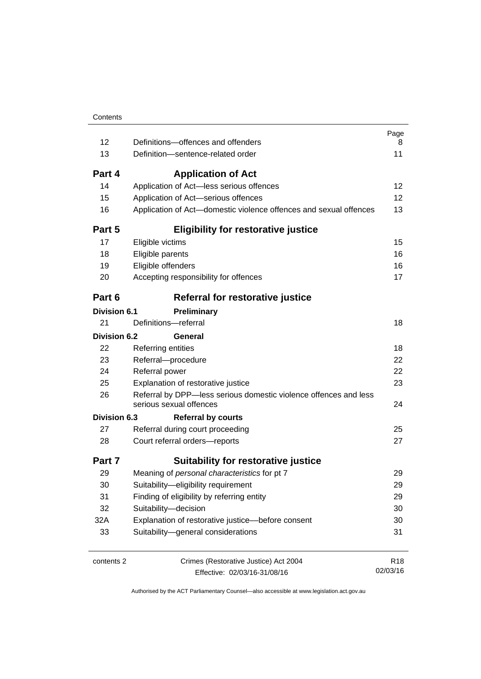| 12                  | Definitions-offences and offenders                                                          | Page<br>8       |
|---------------------|---------------------------------------------------------------------------------------------|-----------------|
| 13                  | Definition-sentence-related order                                                           | 11              |
| Part 4              | <b>Application of Act</b>                                                                   |                 |
| 14                  | Application of Act-less serious offences                                                    | 12              |
| 15                  | Application of Act-serious offences                                                         | 12              |
| 16                  | Application of Act-domestic violence offences and sexual offences                           | 13              |
| Part 5              | <b>Eligibility for restorative justice</b>                                                  |                 |
| 17                  | Eligible victims                                                                            | 15              |
| 18                  | Eligible parents                                                                            | 16              |
| 19                  | Eligible offenders                                                                          | 16              |
| 20                  | Accepting responsibility for offences                                                       | 17              |
| Part 6              | Referral for restorative justice                                                            |                 |
| <b>Division 6.1</b> | Preliminary                                                                                 |                 |
| 21                  | Definitions-referral                                                                        | 18              |
| <b>Division 6.2</b> | General                                                                                     |                 |
| 22                  | Referring entities                                                                          | 18              |
| 23                  | Referral-procedure                                                                          | 22              |
| 24                  | Referral power                                                                              | 22              |
| 25                  | Explanation of restorative justice                                                          | 23              |
| 26                  | Referral by DPP-less serious domestic violence offences and less<br>serious sexual offences | 24              |
| Division 6.3        | <b>Referral by courts</b>                                                                   |                 |
| 27                  | Referral during court proceeding                                                            | 25              |
| 28                  | Court referral orders-reports                                                               | 27              |
| Part 7              | <b>Suitability for restorative justice</b>                                                  |                 |
| 29                  | Meaning of personal characteristics for pt 7                                                | 29              |
| 30                  | Suitability-eligibility requirement                                                         | 29              |
| 31                  | Finding of eligibility by referring entity                                                  | 29              |
| 32                  | Suitability-decision                                                                        | 30              |
| 32A                 | Explanation of restorative justice-before consent                                           | 30              |
| 33                  | Suitability-general considerations                                                          | 31              |
| contents 2          | Crimes (Restorative Justice) Act 2004                                                       | R <sub>18</sub> |
|                     | Effective: 02/03/16-31/08/16                                                                | 02/03/16        |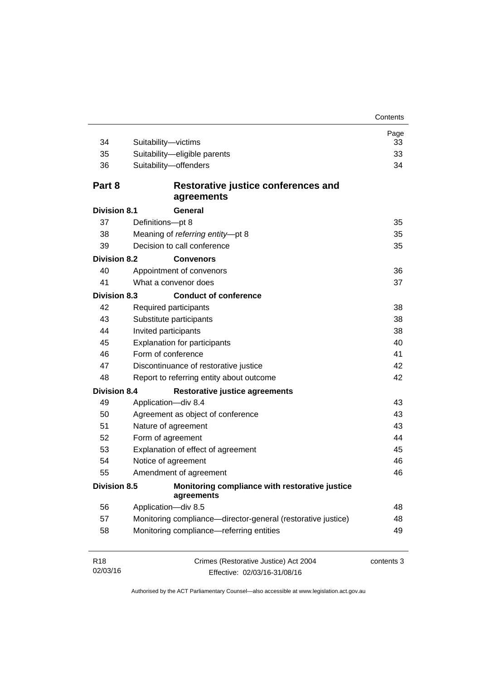| 34                          | Suitability-victims                                                   | Page<br>33 |  |
|-----------------------------|-----------------------------------------------------------------------|------------|--|
| 35                          | Suitability-eligible parents                                          | 33         |  |
| 36                          | Suitability-offenders                                                 | 34         |  |
|                             |                                                                       |            |  |
| Part 8                      | Restorative justice conferences and<br>agreements                     |            |  |
| <b>Division 8.1</b>         | General                                                               |            |  |
| 37                          | Definitions-pt 8                                                      | 35         |  |
| 38                          | Meaning of referring entity-pt 8                                      | 35         |  |
| 39                          | Decision to call conference                                           | 35         |  |
| <b>Division 8.2</b>         | <b>Convenors</b>                                                      |            |  |
| 40                          | Appointment of convenors                                              | 36         |  |
| 41                          | What a convenor does                                                  | 37         |  |
| <b>Division 8.3</b>         | <b>Conduct of conference</b>                                          |            |  |
| 42                          | Required participants                                                 | 38         |  |
| 43                          | Substitute participants                                               | 38         |  |
| 44                          | Invited participants                                                  |            |  |
| 45                          | 40<br><b>Explanation for participants</b>                             |            |  |
| 46                          | Form of conference                                                    | 41         |  |
| 47                          | Discontinuance of restorative justice                                 | 42         |  |
| 48                          | Report to referring entity about outcome                              | 42         |  |
| <b>Division 8.4</b>         | <b>Restorative justice agreements</b>                                 |            |  |
| 49                          | Application-div 8.4                                                   | 43         |  |
| 50                          | Agreement as object of conference                                     | 43         |  |
| 51                          | Nature of agreement                                                   | 43         |  |
| 52                          | Form of agreement                                                     | 44         |  |
| 53                          | Explanation of effect of agreement                                    | 45         |  |
| 54                          | Notice of agreement                                                   | 46         |  |
| 55                          | Amendment of agreement                                                | 46         |  |
| <b>Division 8.5</b>         | Monitoring compliance with restorative justice<br>agreements          |            |  |
| 56                          | Application-div 8.5                                                   | 48         |  |
| 57                          | Monitoring compliance—director-general (restorative justice)          | 48         |  |
| 58                          | Monitoring compliance-referring entities                              | 49         |  |
| R <sub>18</sub><br>02/03/16 | Crimes (Restorative Justice) Act 2004<br>Effective: 02/03/16-31/08/16 | contents 3 |  |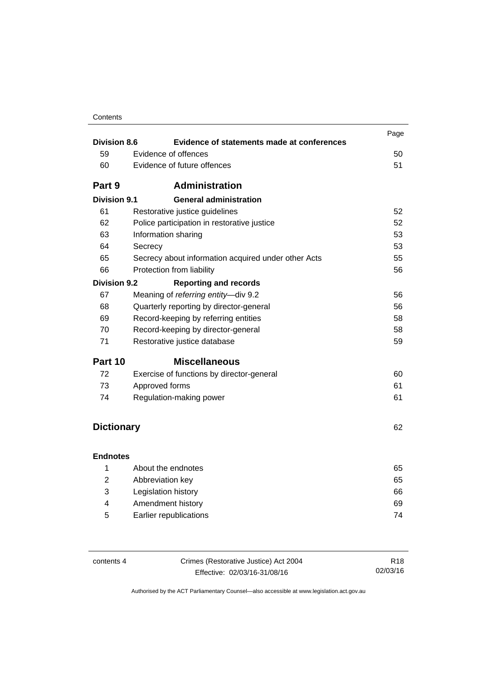| <b>Division 8.6</b> | Evidence of statements made at conferences                | Page |
|---------------------|-----------------------------------------------------------|------|
| 59                  | Evidence of offences                                      | 50   |
|                     | Evidence of future offences                               | 51   |
| 60                  |                                                           |      |
| Part 9              | <b>Administration</b>                                     |      |
| <b>Division 9.1</b> | <b>General administration</b>                             |      |
| 61                  | Restorative justice guidelines                            | 52   |
| 62                  | Police participation in restorative justice               | 52   |
| 63                  | Information sharing                                       | 53   |
| 64                  | Secrecy                                                   | 53   |
| 65                  | 55<br>Secrecy about information acquired under other Acts |      |
| 66                  | Protection from liability                                 | 56   |
| <b>Division 9.2</b> | <b>Reporting and records</b>                              |      |
| 67                  | Meaning of referring entity-div 9.2                       | 56   |
| 68                  | Quarterly reporting by director-general<br>56             |      |
| 69                  | Record-keeping by referring entities                      | 58   |
| 70                  | Record-keeping by director-general                        | 58   |
| 71                  | Restorative justice database                              | 59   |
| Part 10             | <b>Miscellaneous</b>                                      |      |
| 72                  | Exercise of functions by director-general                 | 60   |
| 73                  | Approved forms                                            | 61   |
| 74                  | Regulation-making power                                   | 61   |
|                     |                                                           |      |
| <b>Dictionary</b>   |                                                           | 62   |
|                     |                                                           |      |
| <b>Endnotes</b>     |                                                           |      |
| 1                   | About the endnotes                                        | 65   |
| $\overline{2}$      | Abbreviation key                                          | 65   |
| 3                   | Legislation history                                       | 66   |
| 4                   | Amendment history<br>69                                   |      |
| 5                   | Earlier republications<br>74                              |      |

| contents 4 | Crimes (Restorative Justice) Act 2004 | R <sub>18</sub> |
|------------|---------------------------------------|-----------------|
|            | Effective: 02/03/16-31/08/16          | 02/03/16        |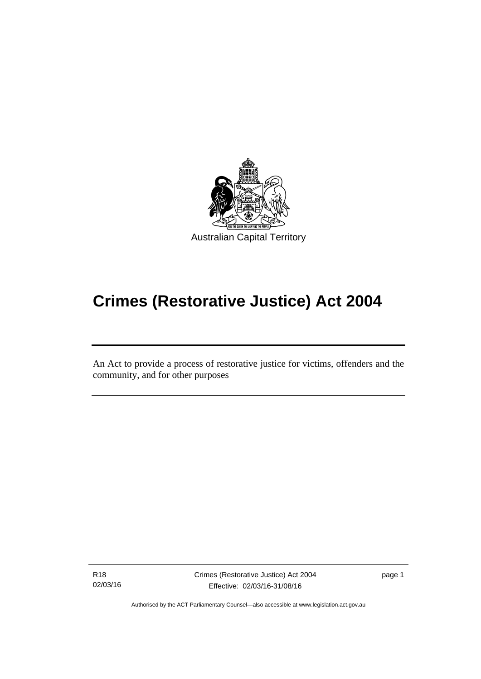

# **Crimes (Restorative Justice) Act 2004**

An Act to provide a process of restorative justice for victims, offenders and the community, and for other purposes

R18 02/03/16

l

Crimes (Restorative Justice) Act 2004 Effective: 02/03/16-31/08/16

page 1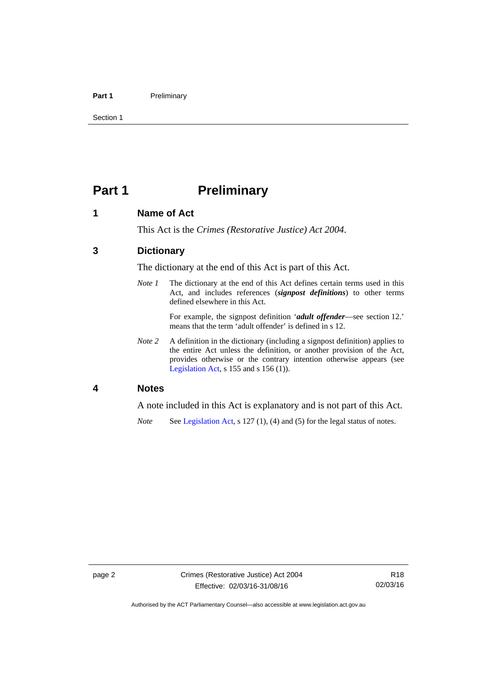#### Part 1 **Preliminary**

Section 1

# <span id="page-7-0"></span>**Part 1** Preliminary

# <span id="page-7-1"></span>**1 Name of Act**

This Act is the *Crimes (Restorative Justice) Act 2004*.

# <span id="page-7-2"></span>**3 Dictionary**

The dictionary at the end of this Act is part of this Act.

*Note 1* The dictionary at the end of this Act defines certain terms used in this Act, and includes references (*signpost definitions*) to other terms defined elsewhere in this Act.

> For example, the signpost definition '*adult offender*—see section 12.' means that the term 'adult offender' is defined in s 12.

*Note 2* A definition in the dictionary (including a signpost definition) applies to the entire Act unless the definition, or another provision of the Act, provides otherwise or the contrary intention otherwise appears (see [Legislation Act,](http://www.legislation.act.gov.au/a/2001-14) s  $155$  and s  $156$  (1)).

### <span id="page-7-3"></span>**4 Notes**

A note included in this Act is explanatory and is not part of this Act.

*Note* See [Legislation Act,](http://www.legislation.act.gov.au/a/2001-14) s 127 (1), (4) and (5) for the legal status of notes.

Authorised by the ACT Parliamentary Counsel—also accessible at www.legislation.act.gov.au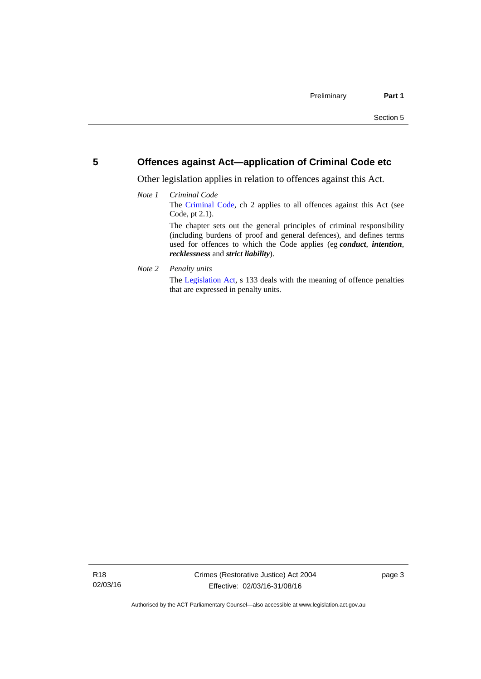# <span id="page-8-0"></span>**5 Offences against Act—application of Criminal Code etc**

Other legislation applies in relation to offences against this Act.

#### *Note 1 Criminal Code* The [Criminal Code](http://www.legislation.act.gov.au/a/2002-51), ch 2 applies to all offences against this Act (see Code, pt 2.1). The chapter sets out the general principles of criminal responsibility (including burdens of proof and general defences), and defines terms used for offences to which the Code applies (eg *conduct*, *intention*, *recklessness* and *strict liability*).

*Note 2 Penalty units* 

The [Legislation Act](http://www.legislation.act.gov.au/a/2001-14), s 133 deals with the meaning of offence penalties that are expressed in penalty units.

page 3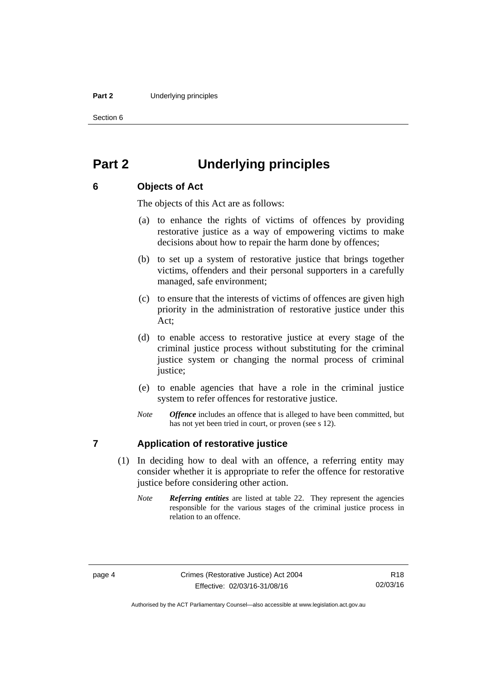#### **Part 2** Underlying principles

Section 6

# <span id="page-9-0"></span>**Part 2 Underlying principles**

# <span id="page-9-1"></span>**6 Objects of Act**

The objects of this Act are as follows:

- (a) to enhance the rights of victims of offences by providing restorative justice as a way of empowering victims to make decisions about how to repair the harm done by offences;
- (b) to set up a system of restorative justice that brings together victims, offenders and their personal supporters in a carefully managed, safe environment;
- (c) to ensure that the interests of victims of offences are given high priority in the administration of restorative justice under this Act;
- (d) to enable access to restorative justice at every stage of the criminal justice process without substituting for the criminal justice system or changing the normal process of criminal justice:
- (e) to enable agencies that have a role in the criminal justice system to refer offences for restorative justice.
- *Note Offence* includes an offence that is alleged to have been committed, but has not yet been tried in court, or proven (see s 12).

# <span id="page-9-2"></span>**7 Application of restorative justice**

- (1) In deciding how to deal with an offence, a referring entity may consider whether it is appropriate to refer the offence for restorative justice before considering other action.
	- *Note Referring entities* are listed at table 22. They represent the agencies responsible for the various stages of the criminal justice process in relation to an offence.

Authorised by the ACT Parliamentary Counsel—also accessible at www.legislation.act.gov.au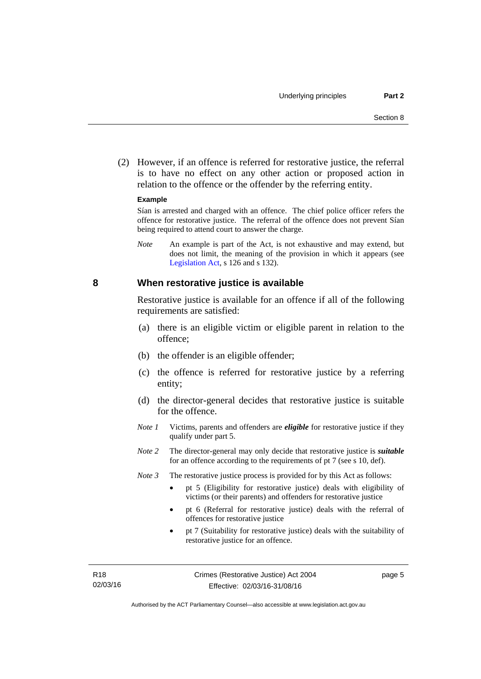(2) However, if an offence is referred for restorative justice, the referral is to have no effect on any other action or proposed action in relation to the offence or the offender by the referring entity.

#### **Example**

Sían is arrested and charged with an offence. The chief police officer refers the offence for restorative justice. The referral of the offence does not prevent Sían being required to attend court to answer the charge.

*Note* An example is part of the Act, is not exhaustive and may extend, but does not limit, the meaning of the provision in which it appears (see [Legislation Act,](http://www.legislation.act.gov.au/a/2001-14) s 126 and s 132).

#### <span id="page-10-0"></span>**8 When restorative justice is available**

Restorative justice is available for an offence if all of the following requirements are satisfied:

- (a) there is an eligible victim or eligible parent in relation to the offence;
- (b) the offender is an eligible offender;
- (c) the offence is referred for restorative justice by a referring entity;
- (d) the director-general decides that restorative justice is suitable for the offence.
- *Note 1* Victims, parents and offenders are *eligible* for restorative justice if they qualify under part 5.
- *Note 2* The director-general may only decide that restorative justice is *suitable*  for an offence according to the requirements of pt 7 (see s 10, def).
- *Note 3* The restorative justice process is provided for by this Act as follows:
	- pt 5 (Eligibility for restorative justice) deals with eligibility of victims (or their parents) and offenders for restorative justice
	- pt 6 (Referral for restorative justice) deals with the referral of offences for restorative justice
	- pt 7 (Suitability for restorative justice) deals with the suitability of restorative justice for an offence.

page 5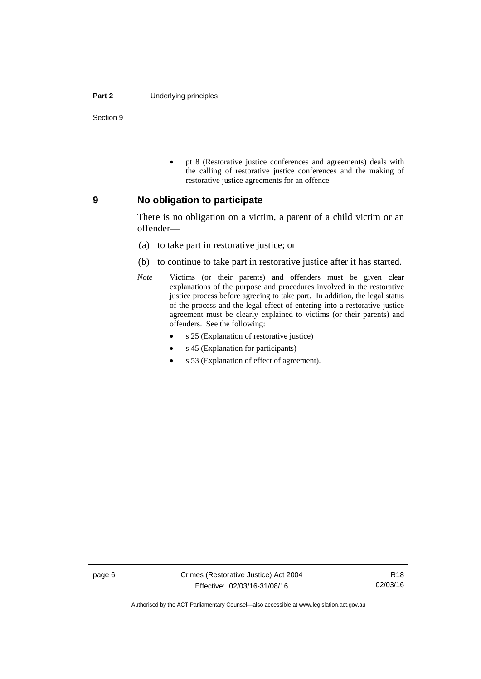#### **Part 2** Underlying principles

Section 9

 pt 8 (Restorative justice conferences and agreements) deals with the calling of restorative justice conferences and the making of restorative justice agreements for an offence

#### <span id="page-11-0"></span>**9 No obligation to participate**

There is no obligation on a victim, a parent of a child victim or an offender—

- (a) to take part in restorative justice; or
- (b) to continue to take part in restorative justice after it has started.
- *Note* Victims (or their parents) and offenders must be given clear explanations of the purpose and procedures involved in the restorative justice process before agreeing to take part. In addition, the legal status of the process and the legal effect of entering into a restorative justice agreement must be clearly explained to victims (or their parents) and offenders. See the following:
	- s 25 (Explanation of restorative justice)
	- s 45 (Explanation for participants)
	- s 53 (Explanation of effect of agreement).

Authorised by the ACT Parliamentary Counsel—also accessible at www.legislation.act.gov.au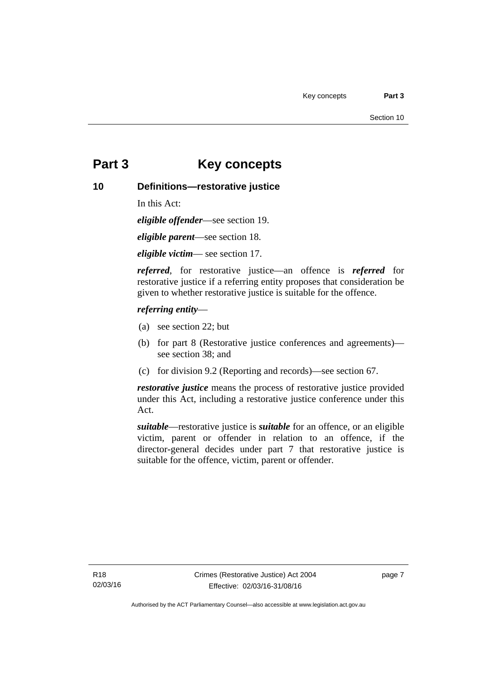# <span id="page-12-0"></span>**Part 3 Key concepts**

# <span id="page-12-1"></span>**10 Definitions—restorative justice**

In this Act:

*eligible offender*—see section 19.

*eligible parent*—see section 18.

*eligible victim*— see section 17.

*referred*, for restorative justice—an offence is *referred* for restorative justice if a referring entity proposes that consideration be given to whether restorative justice is suitable for the offence.

### *referring entity*—

- (a) see section 22; but
- (b) for part 8 (Restorative justice conferences and agreements) see section 38; and
- (c) for division 9.2 (Reporting and records)—see section 67.

*restorative justice* means the process of restorative justice provided under this Act, including a restorative justice conference under this Act.

*suitable*—restorative justice is *suitable* for an offence, or an eligible victim, parent or offender in relation to an offence, if the director-general decides under part 7 that restorative justice is suitable for the offence, victim, parent or offender.

page 7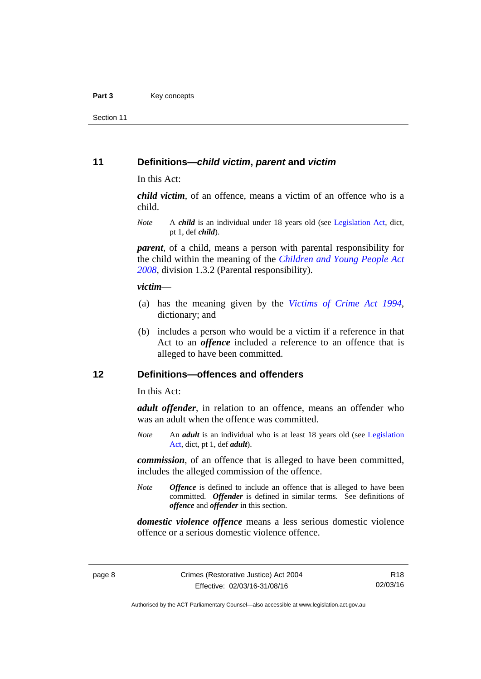Section 11

### <span id="page-13-0"></span>**11 Definitions—***child victim***,** *parent* **and** *victim*

In this Act:

*child victim*, of an offence, means a victim of an offence who is a child.

*Note* A *child* is an individual under 18 years old (see [Legislation Act,](http://www.legislation.act.gov.au/a/2001-14) dict, pt 1, def *child*).

*parent*, of a child, means a person with parental responsibility for the child within the meaning of the *[Children and Young People Act](http://www.legislation.act.gov.au/a/2008-19)  [2008](http://www.legislation.act.gov.au/a/2008-19)*, division 1.3.2 (Parental responsibility).

#### *victim*—

- (a) has the meaning given by the *[Victims of Crime Act 1994](http://www.legislation.act.gov.au/a/1994-83)*, dictionary; and
- (b) includes a person who would be a victim if a reference in that Act to an *offence* included a reference to an offence that is alleged to have been committed.

# <span id="page-13-1"></span>**12 Definitions—offences and offenders**

In this Act:

*adult offender*, in relation to an offence, means an offender who was an adult when the offence was committed.

*Note* An *adult* is an individual who is at least 18 years old (see [Legislation](http://www.legislation.act.gov.au/a/2001-14)  [Act](http://www.legislation.act.gov.au/a/2001-14), dict, pt 1, def *adult*).

*commission*, of an offence that is alleged to have been committed, includes the alleged commission of the offence.

*Note Offence* is defined to include an offence that is alleged to have been committed. *Offender* is defined in similar terms. See definitions of *offence* and *offender* in this section.

*domestic violence offence* means a less serious domestic violence offence or a serious domestic violence offence.

R18 02/03/16

Authorised by the ACT Parliamentary Counsel—also accessible at www.legislation.act.gov.au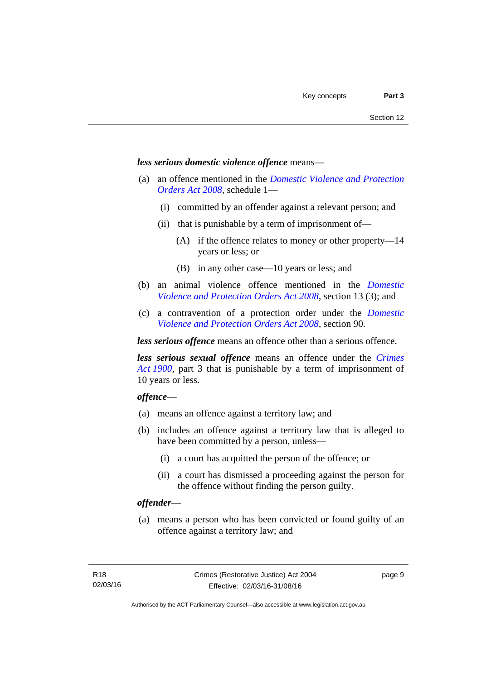#### *less serious domestic violence offence* means—

- (a) an offence mentioned in the *[Domestic Violence and Protection](http://www.legislation.act.gov.au/a/2008-46)  [Orders Act 2008](http://www.legislation.act.gov.au/a/2008-46)*, schedule 1—
	- (i) committed by an offender against a relevant person; and
	- (ii) that is punishable by a term of imprisonment of—
		- (A) if the offence relates to money or other property—14 years or less; or
		- (B) in any other case—10 years or less; and
- (b) an animal violence offence mentioned in the *[Domestic](http://www.legislation.act.gov.au/a/2008-46)  [Violence and Protection Orders Act 2008](http://www.legislation.act.gov.au/a/2008-46)*, section 13 (3); and
- (c) a contravention of a protection order under the *[Domestic](http://www.legislation.act.gov.au/a/2008-46)  [Violence and Protection Orders Act 2008](http://www.legislation.act.gov.au/a/2008-46)*, section 90.

*less serious offence* means an offence other than a serious offence.

*less serious sexual offence* means an offence under the *[Crimes](http://www.legislation.act.gov.au/a/1900-40)  [Act 1900](http://www.legislation.act.gov.au/a/1900-40)*, part 3 that is punishable by a term of imprisonment of 10 years or less.

#### *offence*—

- (a) means an offence against a territory law; and
- (b) includes an offence against a territory law that is alleged to have been committed by a person, unless—
	- (i) a court has acquitted the person of the offence; or
	- (ii) a court has dismissed a proceeding against the person for the offence without finding the person guilty.

#### *offender*—

 (a) means a person who has been convicted or found guilty of an offence against a territory law; and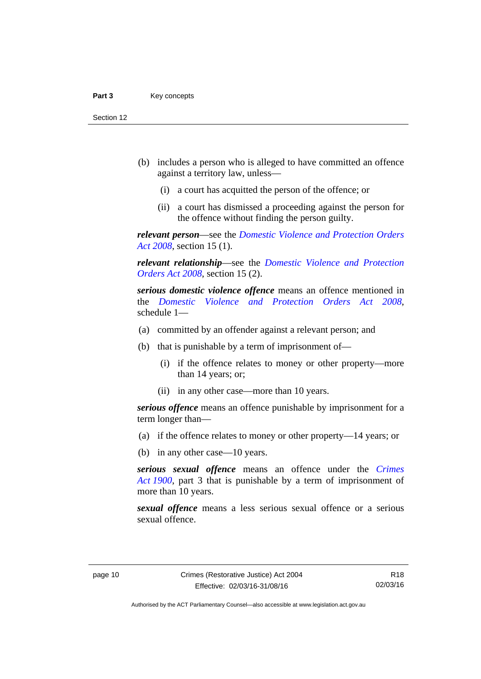- (b) includes a person who is alleged to have committed an offence against a territory law, unless—
	- (i) a court has acquitted the person of the offence; or
	- (ii) a court has dismissed a proceeding against the person for the offence without finding the person guilty.

*relevant person*—see the *[Domestic Violence and Protection Orders](http://www.legislation.act.gov.au/a/2008-46)  [Act 2008](http://www.legislation.act.gov.au/a/2008-46)*, section 15 (1).

*relevant relationship*—see the *[Domestic Violence and Protection](http://www.legislation.act.gov.au/a/2008-46)  [Orders Act 2008](http://www.legislation.act.gov.au/a/2008-46)*, section 15 (2).

*serious domestic violence offence* means an offence mentioned in the *[Domestic Violence and Protection Orders Act 2008](http://www.legislation.act.gov.au/a/2008-46)*, schedule 1—

- (a) committed by an offender against a relevant person; and
- (b) that is punishable by a term of imprisonment of—
	- (i) if the offence relates to money or other property—more than 14 years; or;
	- (ii) in any other case—more than 10 years.

*serious offence* means an offence punishable by imprisonment for a term longer than—

- (a) if the offence relates to money or other property—14 years; or
- (b) in any other case—10 years.

*serious sexual offence* means an offence under the *[Crimes](http://www.legislation.act.gov.au/a/1900-40)  [Act 1900](http://www.legislation.act.gov.au/a/1900-40)*, part 3 that is punishable by a term of imprisonment of more than 10 years.

*sexual offence* means a less serious sexual offence or a serious sexual offence.

Authorised by the ACT Parliamentary Counsel—also accessible at www.legislation.act.gov.au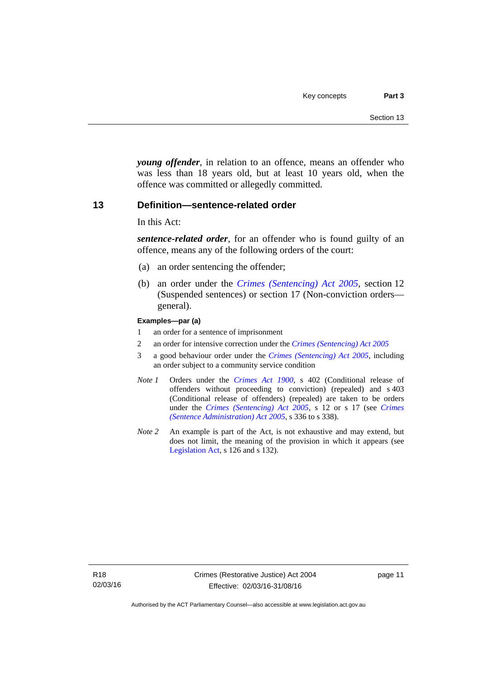*young offender*, in relation to an offence, means an offender who was less than 18 years old, but at least 10 years old, when the offence was committed or allegedly committed.

#### <span id="page-16-0"></span>**13 Definition—sentence-related order**

In this Act:

*sentence-related order*, for an offender who is found guilty of an offence, means any of the following orders of the court:

- (a) an order sentencing the offender;
- (b) an order under the *[Crimes \(Sentencing\) Act 2005](http://www.legislation.act.gov.au/a/2005-58)*, section 12 (Suspended sentences) or section 17 (Non-conviction orders general).

#### **Examples—par (a)**

- 1 an order for a sentence of imprisonment
- 2 an order for intensive correction under the *[Crimes \(Sentencing\) Act 2005](http://www.legislation.act.gov.au/a/2005-58)*
- 3 a good behaviour order under the *[Crimes \(Sentencing\) Act 2005](http://www.legislation.act.gov.au/a/2005-58)*, including an order subject to a community service condition
- *Note 1* Orders under the *[Crimes Act 1900](http://www.legislation.act.gov.au/a/1900-40)*, s 402 (Conditional release of offenders without proceeding to conviction) (repealed) and s 403 (Conditional release of offenders) (repealed) are taken to be orders under the *[Crimes \(Sentencing\) Act 2005](http://www.legislation.act.gov.au/a/2005-58)*, s 12 or s 17 (see *[Crimes](http://www.legislation.act.gov.au/a/2005-59)  [\(Sentence Administration\) Act 2005](http://www.legislation.act.gov.au/a/2005-59)*, s 336 to s 338).
- *Note 2* An example is part of the Act, is not exhaustive and may extend, but does not limit, the meaning of the provision in which it appears (see [Legislation Act,](http://www.legislation.act.gov.au/a/2001-14) s 126 and s 132).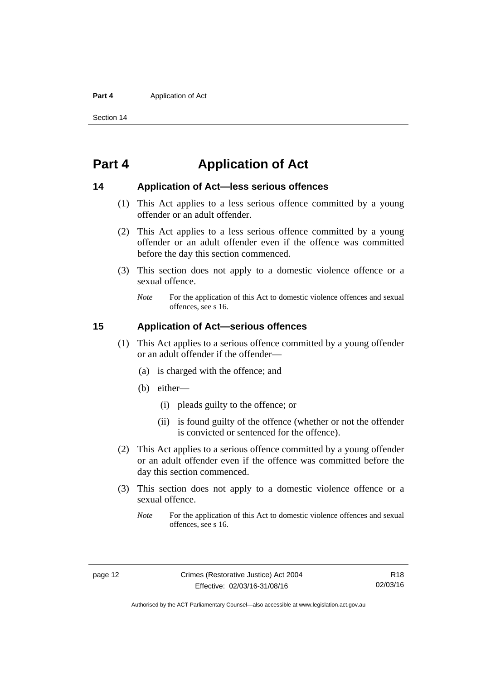#### **Part 4 Application of Act**

Section 14

# <span id="page-17-0"></span>**Part 4 Application of Act**

### <span id="page-17-1"></span>**14 Application of Act—less serious offences**

- (1) This Act applies to a less serious offence committed by a young offender or an adult offender.
- (2) This Act applies to a less serious offence committed by a young offender or an adult offender even if the offence was committed before the day this section commenced.
- (3) This section does not apply to a domestic violence offence or a sexual offence.
	- *Note* For the application of this Act to domestic violence offences and sexual offences, see s 16.

## <span id="page-17-2"></span>**15 Application of Act—serious offences**

- (1) This Act applies to a serious offence committed by a young offender or an adult offender if the offender—
	- (a) is charged with the offence; and
	- (b) either—
		- (i) pleads guilty to the offence; or
		- (ii) is found guilty of the offence (whether or not the offender is convicted or sentenced for the offence).
- (2) This Act applies to a serious offence committed by a young offender or an adult offender even if the offence was committed before the day this section commenced.
- (3) This section does not apply to a domestic violence offence or a sexual offence.
	- *Note* For the application of this Act to domestic violence offences and sexual offences, see s 16.

R18 02/03/16

Authorised by the ACT Parliamentary Counsel—also accessible at www.legislation.act.gov.au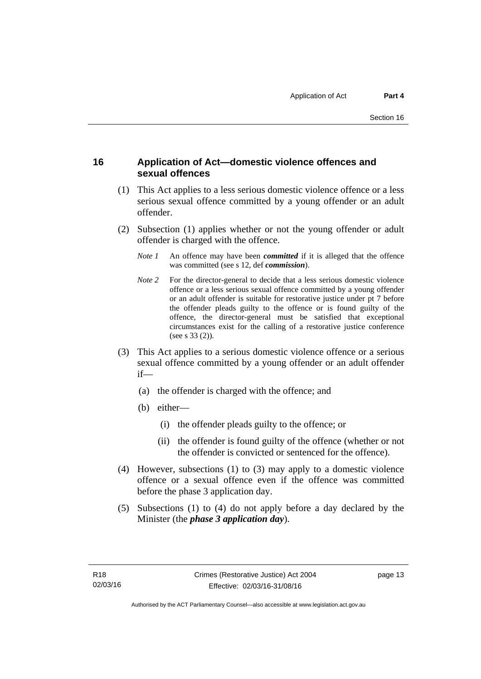# <span id="page-18-0"></span>**16 Application of Act—domestic violence offences and sexual offences**

- (1) This Act applies to a less serious domestic violence offence or a less serious sexual offence committed by a young offender or an adult offender.
- (2) Subsection (1) applies whether or not the young offender or adult offender is charged with the offence.
	- *Note 1* An offence may have been *committed* if it is alleged that the offence was committed (see s 12, def *commission*).
	- *Note* 2 For the director-general to decide that a less serious domestic violence offence or a less serious sexual offence committed by a young offender or an adult offender is suitable for restorative justice under pt 7 before the offender pleads guilty to the offence or is found guilty of the offence, the director-general must be satisfied that exceptional circumstances exist for the calling of a restorative justice conference (see s 33 (2)).
- (3) This Act applies to a serious domestic violence offence or a serious sexual offence committed by a young offender or an adult offender if—
	- (a) the offender is charged with the offence; and
	- (b) either—
		- (i) the offender pleads guilty to the offence; or
		- (ii) the offender is found guilty of the offence (whether or not the offender is convicted or sentenced for the offence).
- (4) However, subsections (1) to (3) may apply to a domestic violence offence or a sexual offence even if the offence was committed before the phase 3 application day.
- (5) Subsections (1) to (4) do not apply before a day declared by the Minister (the *phase 3 application day*).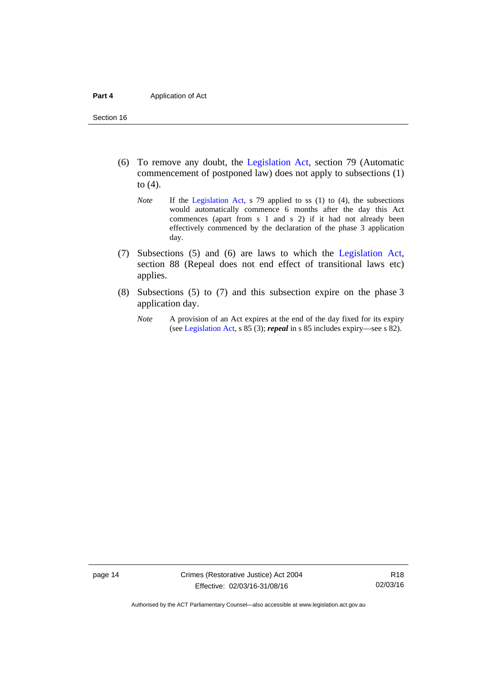Section 16

- (6) To remove any doubt, the [Legislation Act](http://www.legislation.act.gov.au/a/2001-14), section 79 (Automatic commencement of postponed law) does not apply to subsections (1) to (4).
	- *Note* If the [Legislation Act,](http://www.legislation.act.gov.au/a/2001-14) s 79 applied to ss (1) to (4), the subsections would automatically commence 6 months after the day this Act commences (apart from s 1 and s 2) if it had not already been effectively commenced by the declaration of the phase 3 application day.
- (7) Subsections (5) and (6) are laws to which the [Legislation Act](http://www.legislation.act.gov.au/a/2001-14), section 88 (Repeal does not end effect of transitional laws etc) applies.
- (8) Subsections (5) to (7) and this subsection expire on the phase 3 application day.
	- *Note* A provision of an Act expires at the end of the day fixed for its expiry (see [Legislation Act,](http://www.legislation.act.gov.au/a/2001-14) s 85 (3); *repeal* in s 85 includes expiry—see s 82).

page 14 Crimes (Restorative Justice) Act 2004 Effective: 02/03/16-31/08/16

R18 02/03/16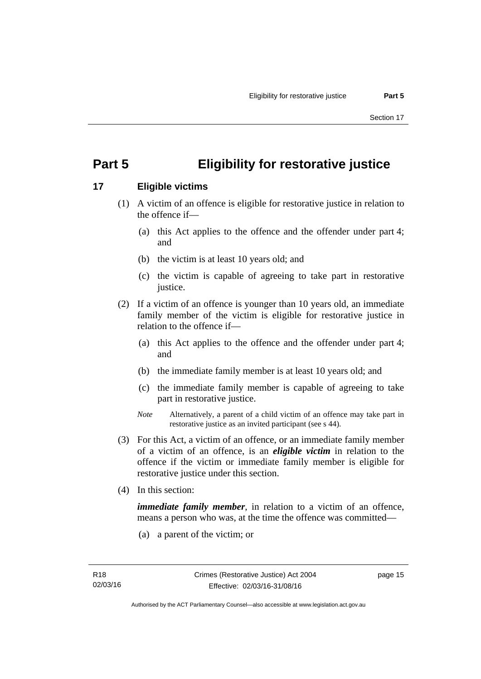# <span id="page-20-0"></span>**Part 5 Eligibility for restorative justice**

# <span id="page-20-1"></span>**17 Eligible victims**

- (1) A victim of an offence is eligible for restorative justice in relation to the offence if—
	- (a) this Act applies to the offence and the offender under part 4; and
	- (b) the victim is at least 10 years old; and
	- (c) the victim is capable of agreeing to take part in restorative justice.
- (2) If a victim of an offence is younger than 10 years old, an immediate family member of the victim is eligible for restorative justice in relation to the offence if—
	- (a) this Act applies to the offence and the offender under part 4; and
	- (b) the immediate family member is at least 10 years old; and
	- (c) the immediate family member is capable of agreeing to take part in restorative justice.
	- *Note* Alternatively, a parent of a child victim of an offence may take part in restorative justice as an invited participant (see s 44).
- (3) For this Act, a victim of an offence, or an immediate family member of a victim of an offence, is an *eligible victim* in relation to the offence if the victim or immediate family member is eligible for restorative justice under this section.
- (4) In this section:

*immediate family member*, in relation to a victim of an offence, means a person who was, at the time the offence was committed—

(a) a parent of the victim; or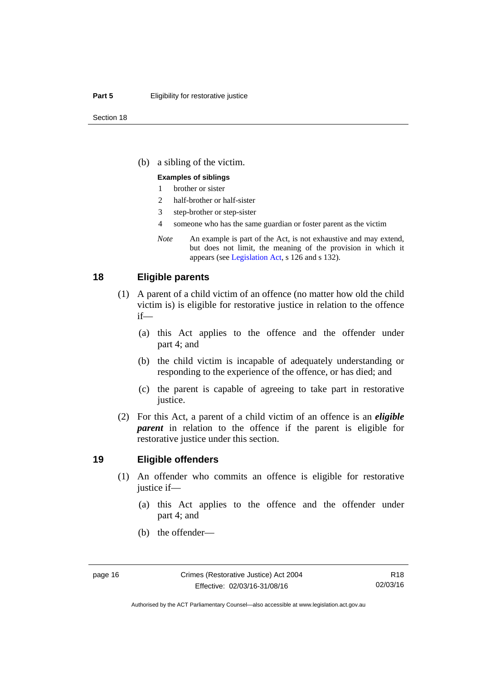#### **Part 5 Eligibility for restorative justice**

(b) a sibling of the victim.

#### **Examples of siblings**

- 1 brother or sister
- 2 half-brother or half-sister
- 3 step-brother or step-sister
- 4 someone who has the same guardian or foster parent as the victim
- *Note* An example is part of the Act, is not exhaustive and may extend, but does not limit, the meaning of the provision in which it appears (see [Legislation Act,](http://www.legislation.act.gov.au/a/2001-14) s 126 and s 132).

#### <span id="page-21-0"></span>**18 Eligible parents**

- (1) A parent of a child victim of an offence (no matter how old the child victim is) is eligible for restorative justice in relation to the offence if—
	- (a) this Act applies to the offence and the offender under part 4; and
	- (b) the child victim is incapable of adequately understanding or responding to the experience of the offence, or has died; and
	- (c) the parent is capable of agreeing to take part in restorative justice.
- (2) For this Act, a parent of a child victim of an offence is an *eligible parent* in relation to the offence if the parent is eligible for restorative justice under this section.

#### <span id="page-21-1"></span>**19 Eligible offenders**

- (1) An offender who commits an offence is eligible for restorative justice if—
	- (a) this Act applies to the offence and the offender under part 4; and
	- (b) the offender—

Authorised by the ACT Parliamentary Counsel—also accessible at www.legislation.act.gov.au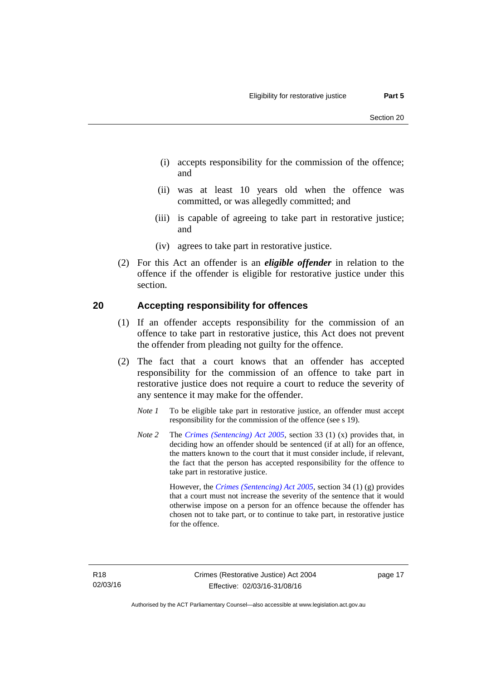- (i) accepts responsibility for the commission of the offence; and
- (ii) was at least 10 years old when the offence was committed, or was allegedly committed; and
- (iii) is capable of agreeing to take part in restorative justice; and
- (iv) agrees to take part in restorative justice.
- (2) For this Act an offender is an *eligible offender* in relation to the offence if the offender is eligible for restorative justice under this section.

### <span id="page-22-0"></span>**20 Accepting responsibility for offences**

- (1) If an offender accepts responsibility for the commission of an offence to take part in restorative justice, this Act does not prevent the offender from pleading not guilty for the offence.
- (2) The fact that a court knows that an offender has accepted responsibility for the commission of an offence to take part in restorative justice does not require a court to reduce the severity of any sentence it may make for the offender.
	- *Note 1* To be eligible take part in restorative justice, an offender must accept responsibility for the commission of the offence (see s 19).
	- *Note 2* The *[Crimes \(Sentencing\) Act 2005](http://www.legislation.act.gov.au/a/2005-58)*, section 33 (1) (x) provides that, in deciding how an offender should be sentenced (if at all) for an offence, the matters known to the court that it must consider include, if relevant, the fact that the person has accepted responsibility for the offence to take part in restorative justice.

 However, the *[Crimes \(Sentencing\) Act 2005](http://www.legislation.act.gov.au/a/2005-58)*, section 34 (1) (g) provides that a court must not increase the severity of the sentence that it would otherwise impose on a person for an offence because the offender has chosen not to take part, or to continue to take part, in restorative justice for the offence.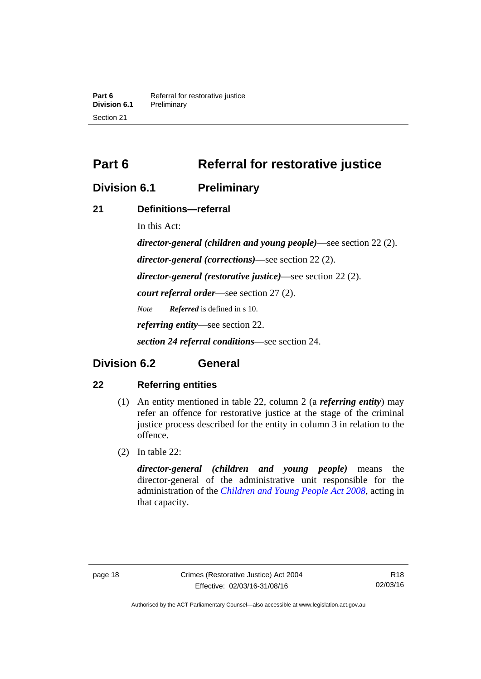**Part 6 Referral for restorative justice**<br>**Division 6.1 Preliminary Division 6.1** Preliminary Section 21

<span id="page-23-0"></span>**Part 6** Referral for restorative justice

# <span id="page-23-1"></span>**Division 6.1 Preliminary**

# <span id="page-23-2"></span>**21 Definitions—referral**

In this Act:

*director-general (children and young people)*—see section 22 (2). *director-general (corrections)*—see section 22 (2). *director-general (restorative justice)*—see section 22 (2). *court referral order*—see section 27 (2). *Note Referred* is defined in s 10. *referring entity*—see section 22. *section 24 referral conditions*—see section 24.

# <span id="page-23-3"></span>**Division 6.2 General**

# <span id="page-23-4"></span>**22 Referring entities**

- (1) An entity mentioned in table 22, column 2 (a *referring entity*) may refer an offence for restorative justice at the stage of the criminal justice process described for the entity in column 3 in relation to the offence.
- (2) In table 22:

*director-general (children and young people)* means the director-general of the administrative unit responsible for the administration of the *[Children and Young People Act 2008](http://www.legislation.act.gov.au/a/2008-19)*, acting in that capacity.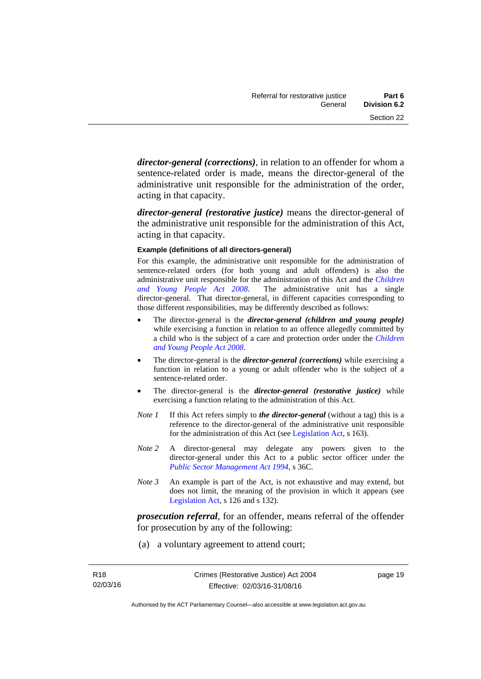*director-general (corrections)*, in relation to an offender for whom a sentence-related order is made, means the director-general of the administrative unit responsible for the administration of the order, acting in that capacity.

*director-general (restorative justice)* means the director-general of the administrative unit responsible for the administration of this Act, acting in that capacity.

#### **Example (definitions of all directors-general)**

For this example, the administrative unit responsible for the administration of sentence-related orders (for both young and adult offenders) is also the administrative unit responsible for the administration of this Act and the *[Children](http://www.legislation.act.gov.au/a/2008-19)  [and Young People Act 2008](http://www.legislation.act.gov.au/a/2008-19)*. The administrative unit has a single director-general. That director-general, in different capacities corresponding to those different responsibilities, may be differently described as follows:

- The director-general is the *director-general (children and young people)*  while exercising a function in relation to an offence allegedly committed by a child who is the subject of a care and protection order under the *[Children](http://www.legislation.act.gov.au/a/2008-19)  [and Young People Act 2008](http://www.legislation.act.gov.au/a/2008-19)*.
- The director-general is the *director-general (corrections)* while exercising a function in relation to a young or adult offender who is the subject of a sentence-related order.
- The director-general is the *director-general (restorative justice)* while exercising a function relating to the administration of this Act.
- *Note 1* If this Act refers simply to *the director-general* (without a tag) this is a reference to the director-general of the administrative unit responsible for the administration of this Act (see [Legislation Act,](http://www.legislation.act.gov.au/a/2001-14) s 163).
- *Note 2* A director-general may delegate any powers given to the director-general under this Act to a public sector officer under the *[Public Sector Management Act 1994](http://www.legislation.act.gov.au/a/1994-37)*, s 36C.
- *Note 3* An example is part of the Act, is not exhaustive and may extend, but does not limit, the meaning of the provision in which it appears (see [Legislation Act,](http://www.legislation.act.gov.au/a/2001-14) s 126 and s 132).

*prosecution referral*, for an offender, means referral of the offender for prosecution by any of the following:

(a) a voluntary agreement to attend court;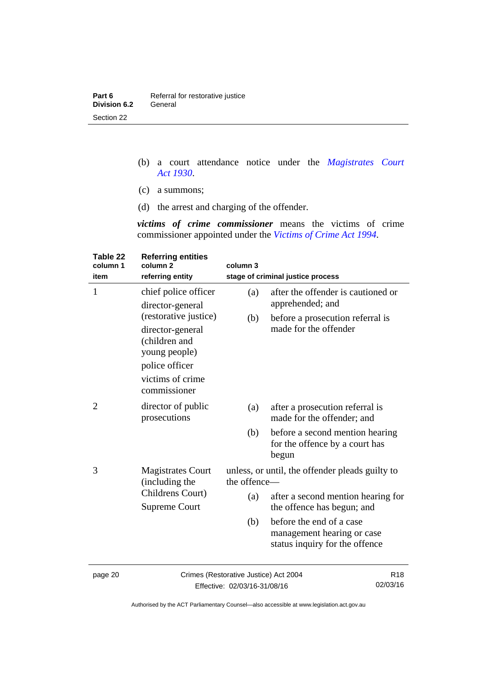| Part 6              | Referral for restorative justice |
|---------------------|----------------------------------|
| <b>Division 6.2</b> | General                          |
| Section 22          |                                  |

- (b) a court attendance notice under the *[Magistrates Court](http://www.legislation.act.gov.au/a/1930-21)  [Act 1930](http://www.legislation.act.gov.au/a/1930-21)*.
- (c) a summons;
- (d) the arrest and charging of the offender.

*victims of crime commissioner* means the victims of crime commissioner appointed under the *[Victims of Crime Act 1994](http://www.legislation.act.gov.au/a/1994-83)*.

| Table 22<br>column 1<br>item | <b>Referring entities</b><br>column <sub>2</sub><br>referring entity                                                              | column 3                              | stage of criminal justice process                                                        |
|------------------------------|-----------------------------------------------------------------------------------------------------------------------------------|---------------------------------------|------------------------------------------------------------------------------------------|
| $\mathbf{1}$                 | chief police officer<br>director-general                                                                                          | (a)                                   | after the offender is cautioned or<br>apprehended; and                                   |
|                              | (restorative justice)<br>director-general<br>(children and<br>young people)<br>police officer<br>victims of crime<br>commissioner | (b)                                   | before a prosecution referral is<br>made for the offender                                |
| 2                            | director of public<br>prosecutions                                                                                                | (a)                                   | after a prosecution referral is<br>made for the offender; and                            |
|                              |                                                                                                                                   | (b)                                   | before a second mention hearing<br>for the offence by a court has<br>begun               |
| 3                            | <b>Magistrates Court</b><br>(including the                                                                                        | the offence-                          | unless, or until, the offender pleads guilty to                                          |
|                              | Childrens Court)<br><b>Supreme Court</b>                                                                                          | (a)                                   | after a second mention hearing for<br>the offence has begun; and                         |
|                              |                                                                                                                                   | (b)                                   | before the end of a case<br>management hearing or case<br>status inquiry for the offence |
| naga 20                      |                                                                                                                                   | Crimes (Restorative Justice) Act 2004 | D 1.0                                                                                    |

page 20 Crimes (Restorative Justice) Act 2004 Effective: 02/03/16-31/08/16

R18 02/03/16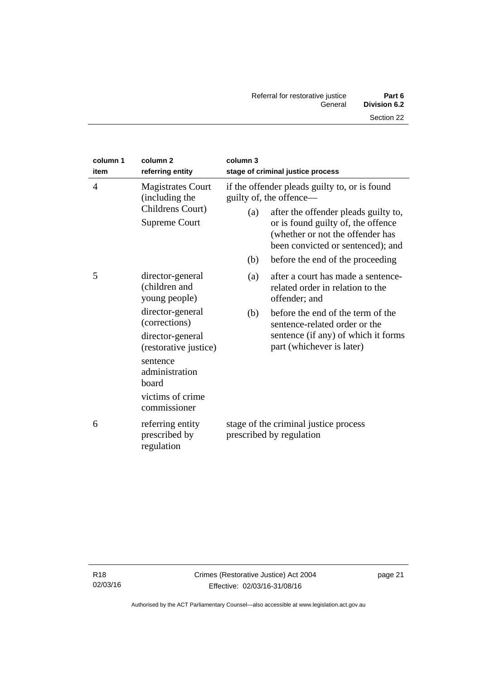| column 1<br>item | column <sub>2</sub><br>referring entity                                                | column 3 | stage of criminal justice process                                                                                                                                                                                               |
|------------------|----------------------------------------------------------------------------------------|----------|---------------------------------------------------------------------------------------------------------------------------------------------------------------------------------------------------------------------------------|
| 4                | <b>Magistrates Court</b><br>(including the<br>Childrens Court)<br><b>Supreme Court</b> | (a)      | if the offender pleads guilty to, or is found<br>guilty of, the offence—<br>after the offender pleads guilty to,<br>or is found guilty of, the offence<br>(whether or not the offender has<br>been convicted or sentenced); and |
|                  |                                                                                        | (b)      | before the end of the proceeding                                                                                                                                                                                                |
| 5                | director-general<br>(children and<br>young people)                                     | (a)      | after a court has made a sentence-<br>related order in relation to the<br>offender; and                                                                                                                                         |
|                  | director-general<br>(corrections)<br>director-general<br>(restorative justice)         | (b)      | before the end of the term of the<br>sentence-related order or the<br>sentence (if any) of which it forms<br>part (whichever is later)                                                                                          |
|                  | sentence<br>administration<br>board<br>victims of crime<br>commissioner                |          |                                                                                                                                                                                                                                 |
| 6                | referring entity<br>prescribed by<br>regulation                                        |          | stage of the criminal justice process<br>prescribed by regulation                                                                                                                                                               |

÷,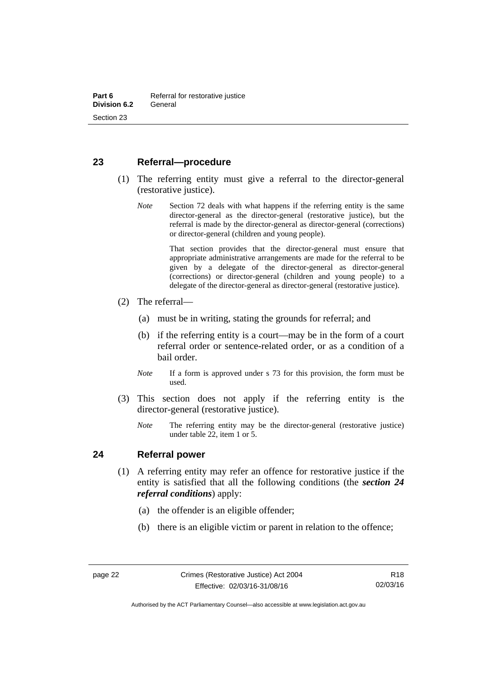# <span id="page-27-0"></span>**23 Referral—procedure**

- (1) The referring entity must give a referral to the director-general (restorative justice).
	- *Note* Section 72 deals with what happens if the referring entity is the same director-general as the director-general (restorative justice), but the referral is made by the director-general as director-general (corrections) or director-general (children and young people).

 That section provides that the director-general must ensure that appropriate administrative arrangements are made for the referral to be given by a delegate of the director-general as director-general (corrections) or director-general (children and young people) to a delegate of the director-general as director-general (restorative justice).

- (2) The referral—
	- (a) must be in writing, stating the grounds for referral; and
	- (b) if the referring entity is a court—may be in the form of a court referral order or sentence-related order, or as a condition of a bail order.
	- *Note* If a form is approved under s 73 for this provision, the form must be used.
- (3) This section does not apply if the referring entity is the director-general (restorative justice).
	- *Note* The referring entity may be the director-general (restorative justice) under table 22, item 1 or 5.

### <span id="page-27-1"></span>**24 Referral power**

- (1) A referring entity may refer an offence for restorative justice if the entity is satisfied that all the following conditions (the *section 24 referral conditions*) apply:
	- (a) the offender is an eligible offender;
	- (b) there is an eligible victim or parent in relation to the offence;

Authorised by the ACT Parliamentary Counsel—also accessible at www.legislation.act.gov.au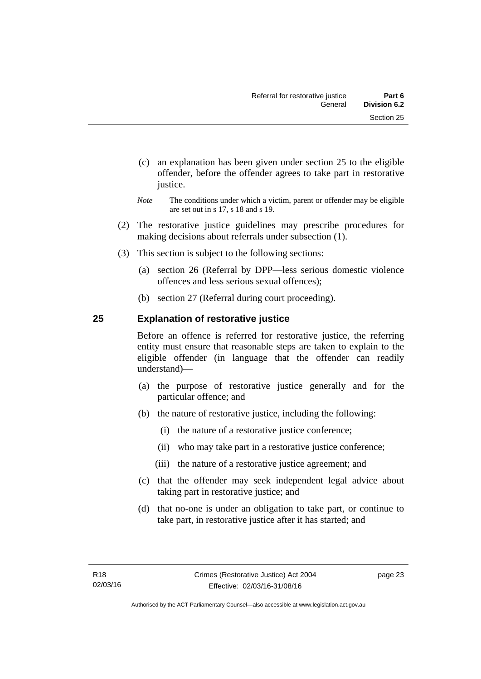- (c) an explanation has been given under section 25 to the eligible offender, before the offender agrees to take part in restorative justice.
- *Note* The conditions under which a victim, parent or offender may be eligible are set out in s 17, s 18 and s 19.
- (2) The restorative justice guidelines may prescribe procedures for making decisions about referrals under subsection (1).
- (3) This section is subject to the following sections:
	- (a) section 26 (Referral by DPP—less serious domestic violence offences and less serious sexual offences);
	- (b) section 27 (Referral during court proceeding).

# <span id="page-28-0"></span>**25 Explanation of restorative justice**

Before an offence is referred for restorative justice, the referring entity must ensure that reasonable steps are taken to explain to the eligible offender (in language that the offender can readily understand)––

- (a) the purpose of restorative justice generally and for the particular offence; and
- (b) the nature of restorative justice, including the following:
	- (i) the nature of a restorative justice conference;
	- (ii) who may take part in a restorative justice conference;
	- (iii) the nature of a restorative justice agreement; and
- (c) that the offender may seek independent legal advice about taking part in restorative justice; and
- (d) that no-one is under an obligation to take part, or continue to take part, in restorative justice after it has started; and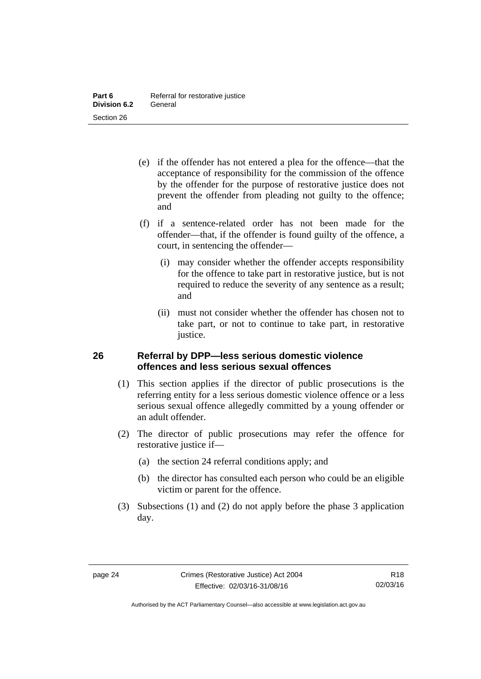- (e) if the offender has not entered a plea for the offence—that the acceptance of responsibility for the commission of the offence by the offender for the purpose of restorative justice does not prevent the offender from pleading not guilty to the offence; and
- (f) if a sentence-related order has not been made for the offender—that, if the offender is found guilty of the offence, a court, in sentencing the offender—
	- (i) may consider whether the offender accepts responsibility for the offence to take part in restorative justice, but is not required to reduce the severity of any sentence as a result; and
	- (ii) must not consider whether the offender has chosen not to take part, or not to continue to take part, in restorative justice.

# <span id="page-29-0"></span>**26 Referral by DPP—less serious domestic violence offences and less serious sexual offences**

- (1) This section applies if the director of public prosecutions is the referring entity for a less serious domestic violence offence or a less serious sexual offence allegedly committed by a young offender or an adult offender.
- (2) The director of public prosecutions may refer the offence for restorative justice if—
	- (a) the section 24 referral conditions apply; and
	- (b) the director has consulted each person who could be an eligible victim or parent for the offence.
- (3) Subsections (1) and (2) do not apply before the phase 3 application day.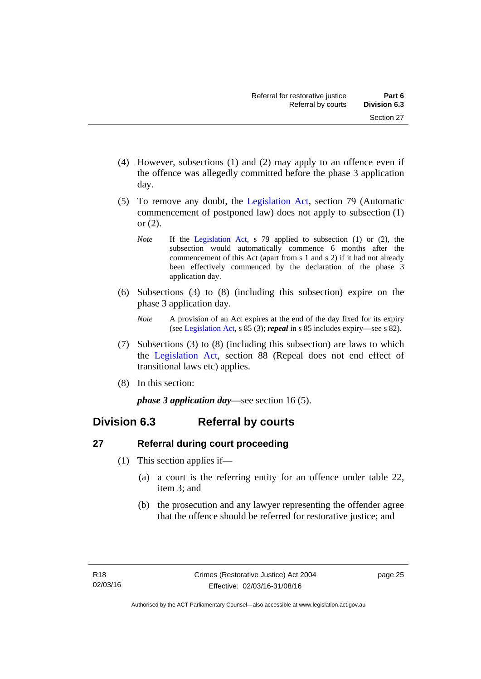- (4) However, subsections (1) and (2) may apply to an offence even if the offence was allegedly committed before the phase 3 application day.
- (5) To remove any doubt, the [Legislation Act](http://www.legislation.act.gov.au/a/2001-14), section 79 (Automatic commencement of postponed law) does not apply to subsection (1) or (2).
	- *Note* If the [Legislation Act,](http://www.legislation.act.gov.au/a/2001-14) s 79 applied to subsection (1) or (2), the subsection would automatically commence 6 months after the commencement of this Act (apart from s 1 and s 2) if it had not already been effectively commenced by the declaration of the phase 3 application day.
- (6) Subsections (3) to (8) (including this subsection) expire on the phase 3 application day.
	- *Note* A provision of an Act expires at the end of the day fixed for its expiry (see [Legislation Act,](http://www.legislation.act.gov.au/a/2001-14) s 85 (3); *repeal* in s 85 includes expiry—see s 82).
- (7) Subsections (3) to (8) (including this subsection) are laws to which the [Legislation Act](http://www.legislation.act.gov.au/a/2001-14), section 88 (Repeal does not end effect of transitional laws etc) applies.
- (8) In this section:

*phase 3 application day*—see section 16 (5).

# <span id="page-30-0"></span>**Division 6.3 Referral by courts**

# <span id="page-30-1"></span>**27 Referral during court proceeding**

- (1) This section applies if—
	- (a) a court is the referring entity for an offence under table 22, item 3; and
	- (b) the prosecution and any lawyer representing the offender agree that the offence should be referred for restorative justice; and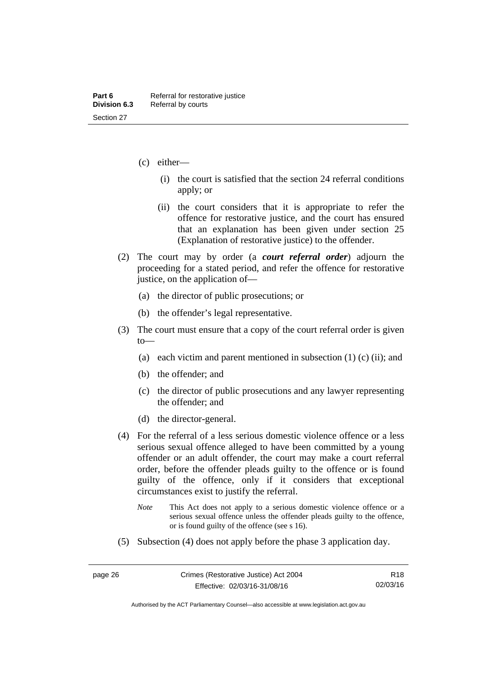- (c) either—
	- (i) the court is satisfied that the section 24 referral conditions apply; or
	- (ii) the court considers that it is appropriate to refer the offence for restorative justice, and the court has ensured that an explanation has been given under section 25 (Explanation of restorative justice) to the offender.
- (2) The court may by order (a *court referral order*) adjourn the proceeding for a stated period, and refer the offence for restorative justice, on the application of—
	- (a) the director of public prosecutions; or
	- (b) the offender's legal representative.
- (3) The court must ensure that a copy of the court referral order is given to—
	- (a) each victim and parent mentioned in subsection  $(1)$  (c) (ii); and
	- (b) the offender; and
	- (c) the director of public prosecutions and any lawyer representing the offender; and
	- (d) the director-general.
- (4) For the referral of a less serious domestic violence offence or a less serious sexual offence alleged to have been committed by a young offender or an adult offender, the court may make a court referral order, before the offender pleads guilty to the offence or is found guilty of the offence, only if it considers that exceptional circumstances exist to justify the referral.
	- *Note* This Act does not apply to a serious domestic violence offence or a serious sexual offence unless the offender pleads guilty to the offence, or is found guilty of the offence (see s 16).
- (5) Subsection (4) does not apply before the phase 3 application day.

Authorised by the ACT Parliamentary Counsel—also accessible at www.legislation.act.gov.au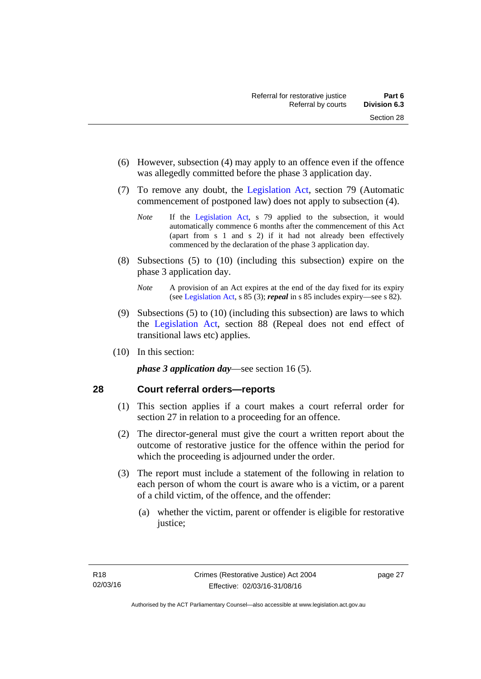- (6) However, subsection (4) may apply to an offence even if the offence was allegedly committed before the phase 3 application day.
- (7) To remove any doubt, the [Legislation Act](http://www.legislation.act.gov.au/a/2001-14), section 79 (Automatic commencement of postponed law) does not apply to subsection (4).
	- *Note* If the [Legislation Act,](http://www.legislation.act.gov.au/a/2001-14) s 79 applied to the subsection, it would automatically commence 6 months after the commencement of this Act (apart from s 1 and s 2) if it had not already been effectively commenced by the declaration of the phase 3 application day.
- (8) Subsections (5) to (10) (including this subsection) expire on the phase 3 application day.
	- *Note* A provision of an Act expires at the end of the day fixed for its expiry (see [Legislation Act,](http://www.legislation.act.gov.au/a/2001-14) s 85 (3); *repeal* in s 85 includes expiry—see s 82).
- (9) Subsections (5) to (10) (including this subsection) are laws to which the [Legislation Act](http://www.legislation.act.gov.au/a/2001-14), section 88 (Repeal does not end effect of transitional laws etc) applies.
- (10) In this section:

*phase 3 application day*—see section 16 (5).

# <span id="page-32-0"></span>**28 Court referral orders—reports**

- (1) This section applies if a court makes a court referral order for section 27 in relation to a proceeding for an offence.
- (2) The director-general must give the court a written report about the outcome of restorative justice for the offence within the period for which the proceeding is adjourned under the order.
- (3) The report must include a statement of the following in relation to each person of whom the court is aware who is a victim, or a parent of a child victim, of the offence, and the offender:
	- (a) whether the victim, parent or offender is eligible for restorative justice;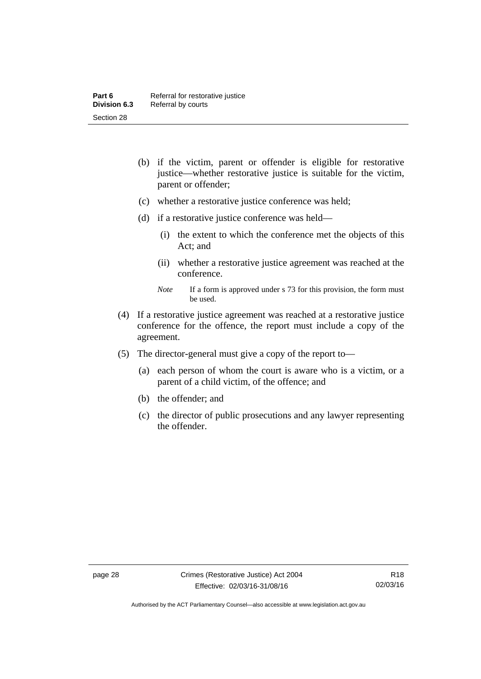- (b) if the victim, parent or offender is eligible for restorative justice—whether restorative justice is suitable for the victim, parent or offender;
- (c) whether a restorative justice conference was held;
- (d) if a restorative justice conference was held—
	- (i) the extent to which the conference met the objects of this Act; and
	- (ii) whether a restorative justice agreement was reached at the conference.
	- *Note* If a form is approved under s 73 for this provision, the form must be used.
- (4) If a restorative justice agreement was reached at a restorative justice conference for the offence, the report must include a copy of the agreement.
- (5) The director-general must give a copy of the report to—
	- (a) each person of whom the court is aware who is a victim, or a parent of a child victim, of the offence; and
	- (b) the offender; and
	- (c) the director of public prosecutions and any lawyer representing the offender.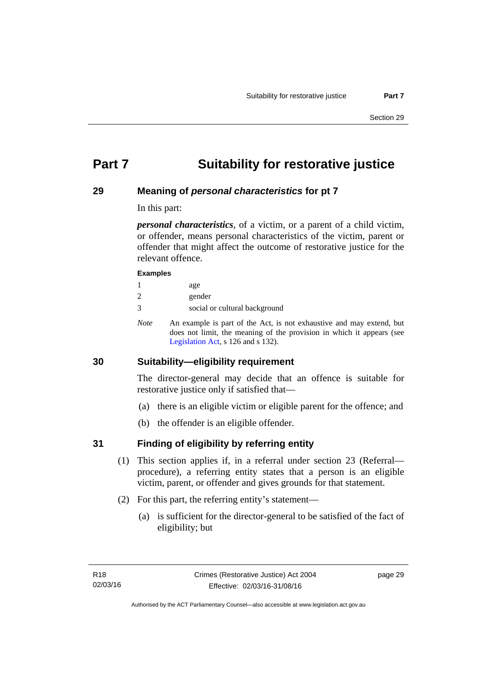# <span id="page-34-0"></span>**Part 7 Suitability for restorative justice**

# <span id="page-34-1"></span>**29 Meaning of** *personal characteristics* **for pt 7**

In this part:

*personal characteristics*, of a victim, or a parent of a child victim, or offender, means personal characteristics of the victim, parent or offender that might affect the outcome of restorative justice for the relevant offence.

#### **Examples**

| age |
|-----|
|     |

- 2 gender
- 3 social or cultural background
- *Note* An example is part of the Act, is not exhaustive and may extend, but does not limit, the meaning of the provision in which it appears (see [Legislation Act,](http://www.legislation.act.gov.au/a/2001-14) s 126 and s 132).

# <span id="page-34-2"></span>**30 Suitability—eligibility requirement**

The director-general may decide that an offence is suitable for restorative justice only if satisfied that—

- (a) there is an eligible victim or eligible parent for the offence; and
- (b) the offender is an eligible offender.

# <span id="page-34-3"></span>**31 Finding of eligibility by referring entity**

- (1) This section applies if, in a referral under section 23 (Referral procedure), a referring entity states that a person is an eligible victim, parent, or offender and gives grounds for that statement.
- (2) For this part, the referring entity's statement—
	- (a) is sufficient for the director-general to be satisfied of the fact of eligibility; but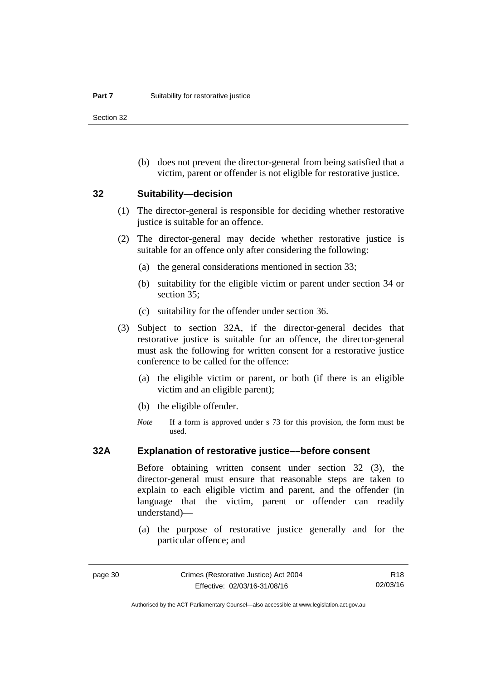Section 32

 (b) does not prevent the director-general from being satisfied that a victim, parent or offender is not eligible for restorative justice.

#### <span id="page-35-0"></span>**32 Suitability—decision**

- (1) The director-general is responsible for deciding whether restorative justice is suitable for an offence.
- (2) The director-general may decide whether restorative justice is suitable for an offence only after considering the following:
	- (a) the general considerations mentioned in section 33;
	- (b) suitability for the eligible victim or parent under section 34 or section 35:
	- (c) suitability for the offender under section 36.
- (3) Subject to section 32A, if the director-general decides that restorative justice is suitable for an offence, the director-general must ask the following for written consent for a restorative justice conference to be called for the offence:
	- (a) the eligible victim or parent, or both (if there is an eligible victim and an eligible parent);
	- (b) the eligible offender.
	- *Note* If a form is approved under s 73 for this provision, the form must be used.

### <span id="page-35-1"></span>**32A Explanation of restorative justice––before consent**

Before obtaining written consent under section 32 (3), the director-general must ensure that reasonable steps are taken to explain to each eligible victim and parent, and the offender (in language that the victim, parent or offender can readily understand)—

 (a) the purpose of restorative justice generally and for the particular offence; and

R18 02/03/16

Authorised by the ACT Parliamentary Counsel—also accessible at www.legislation.act.gov.au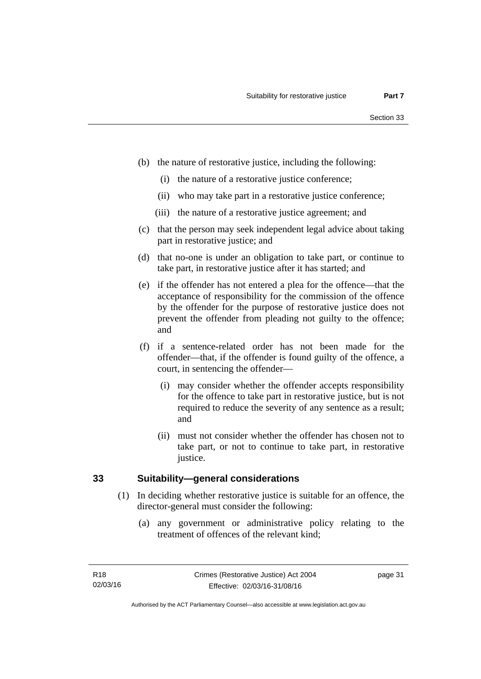- (b) the nature of restorative justice, including the following:
	- (i) the nature of a restorative justice conference;
	- (ii) who may take part in a restorative justice conference;
	- (iii) the nature of a restorative justice agreement; and
- (c) that the person may seek independent legal advice about taking part in restorative justice; and
- (d) that no-one is under an obligation to take part, or continue to take part, in restorative justice after it has started; and
- (e) if the offender has not entered a plea for the offence—that the acceptance of responsibility for the commission of the offence by the offender for the purpose of restorative justice does not prevent the offender from pleading not guilty to the offence; and
- (f) if a sentence-related order has not been made for the offender—that, if the offender is found guilty of the offence, a court, in sentencing the offender—
	- (i) may consider whether the offender accepts responsibility for the offence to take part in restorative justice, but is not required to reduce the severity of any sentence as a result; and
	- (ii) must not consider whether the offender has chosen not to take part, or not to continue to take part, in restorative justice.

#### **33 Suitability—general considerations**

- (1) In deciding whether restorative justice is suitable for an offence, the director-general must consider the following:
	- (a) any government or administrative policy relating to the treatment of offences of the relevant kind;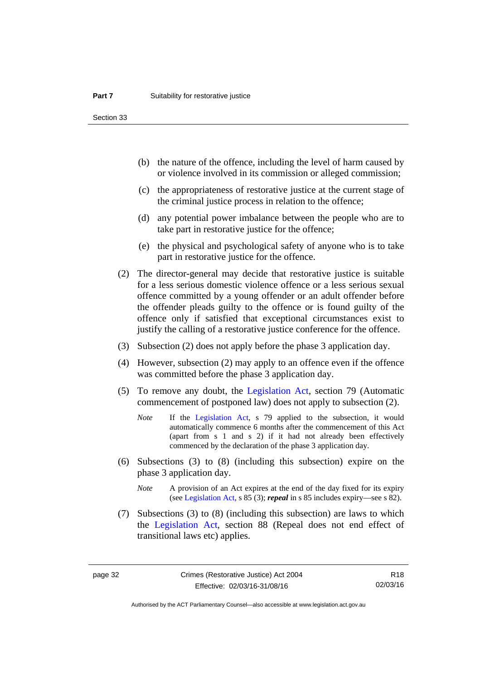Section 33

- (b) the nature of the offence, including the level of harm caused by or violence involved in its commission or alleged commission;
- (c) the appropriateness of restorative justice at the current stage of the criminal justice process in relation to the offence;
- (d) any potential power imbalance between the people who are to take part in restorative justice for the offence;
- (e) the physical and psychological safety of anyone who is to take part in restorative justice for the offence.
- (2) The director-general may decide that restorative justice is suitable for a less serious domestic violence offence or a less serious sexual offence committed by a young offender or an adult offender before the offender pleads guilty to the offence or is found guilty of the offence only if satisfied that exceptional circumstances exist to justify the calling of a restorative justice conference for the offence.
- (3) Subsection (2) does not apply before the phase 3 application day.
- (4) However, subsection (2) may apply to an offence even if the offence was committed before the phase 3 application day.
- (5) To remove any doubt, the [Legislation Act](http://www.legislation.act.gov.au/a/2001-14), section 79 (Automatic commencement of postponed law) does not apply to subsection (2).
	- *Note* If the [Legislation Act,](http://www.legislation.act.gov.au/a/2001-14) s 79 applied to the subsection, it would automatically commence 6 months after the commencement of this Act (apart from s 1 and s 2) if it had not already been effectively commenced by the declaration of the phase 3 application day.
- (6) Subsections (3) to (8) (including this subsection) expire on the phase 3 application day.
	- *Note* A provision of an Act expires at the end of the day fixed for its expiry (see [Legislation Act,](http://www.legislation.act.gov.au/a/2001-14) s 85 (3); *repeal* in s 85 includes expiry—see s 82).
- (7) Subsections (3) to (8) (including this subsection) are laws to which the [Legislation Act](http://www.legislation.act.gov.au/a/2001-14), section 88 (Repeal does not end effect of transitional laws etc) applies.

R18 02/03/16

Authorised by the ACT Parliamentary Counsel—also accessible at www.legislation.act.gov.au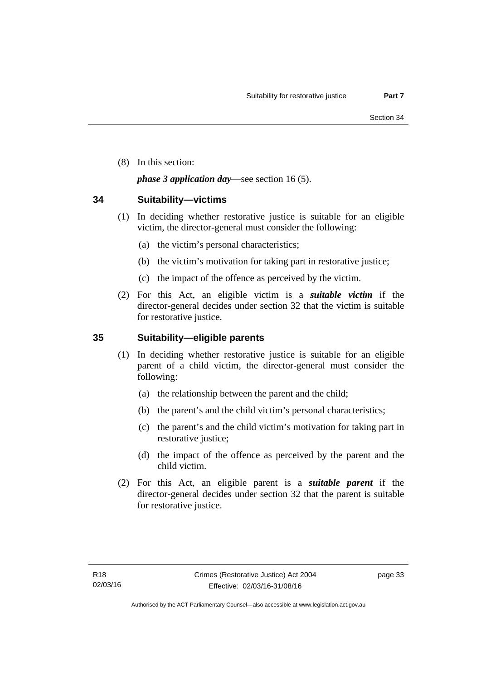(8) In this section:

#### *phase 3 application day*—see section 16 (5).

#### **34 Suitability—victims**

- (1) In deciding whether restorative justice is suitable for an eligible victim, the director-general must consider the following:
	- (a) the victim's personal characteristics;
	- (b) the victim's motivation for taking part in restorative justice;
	- (c) the impact of the offence as perceived by the victim.
- (2) For this Act, an eligible victim is a *suitable victim* if the director-general decides under section 32 that the victim is suitable for restorative justice.

### **35 Suitability—eligible parents**

- (1) In deciding whether restorative justice is suitable for an eligible parent of a child victim, the director-general must consider the following:
	- (a) the relationship between the parent and the child;
	- (b) the parent's and the child victim's personal characteristics;
	- (c) the parent's and the child victim's motivation for taking part in restorative justice;
	- (d) the impact of the offence as perceived by the parent and the child victim.
- (2) For this Act, an eligible parent is a *suitable parent* if the director-general decides under section 32 that the parent is suitable for restorative justice.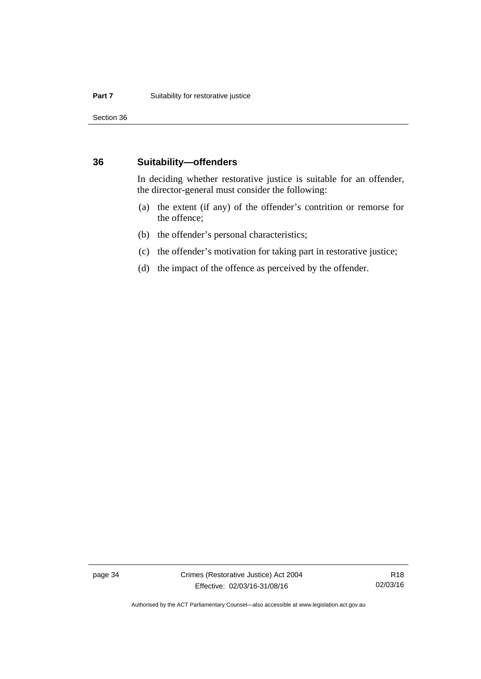Section 36

#### **36 Suitability—offenders**

In deciding whether restorative justice is suitable for an offender, the director-general must consider the following:

- (a) the extent (if any) of the offender's contrition or remorse for the offence;
- (b) the offender's personal characteristics;
- (c) the offender's motivation for taking part in restorative justice;
- (d) the impact of the offence as perceived by the offender.

page 34 Crimes (Restorative Justice) Act 2004 Effective: 02/03/16-31/08/16

R18 02/03/16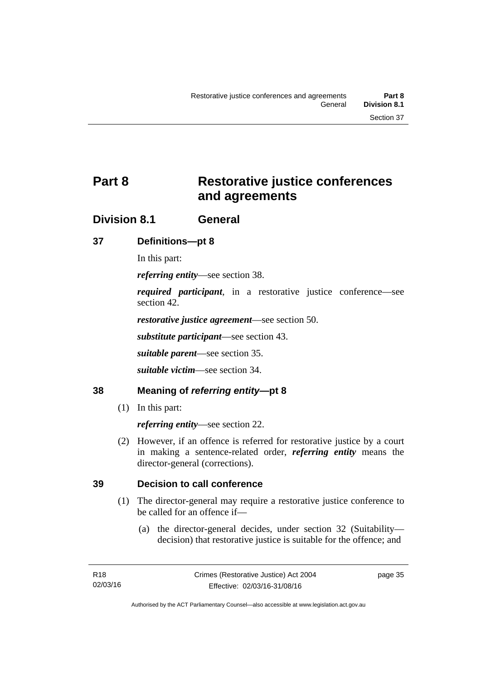# **Part 8 Restorative justice conferences and agreements**

## **Division 8.1 General**

### **37 Definitions—pt 8**

In this part:

*referring entity*—see section 38.

*required participant*, in a restorative justice conference—see section 42.

*restorative justice agreement*—see section 50.

*substitute participant*—see section 43.

*suitable parent*—see section 35.

*suitable victim*—see section 34.

### **38 Meaning of** *referring entity***—pt 8**

(1) In this part:

*referring entity*—see section 22.

 (2) However, if an offence is referred for restorative justice by a court in making a sentence-related order, *referring entity* means the director-general (corrections).

### **39 Decision to call conference**

- (1) The director-general may require a restorative justice conference to be called for an offence if—
	- (a) the director-general decides, under section 32 (Suitability decision) that restorative justice is suitable for the offence; and

page 35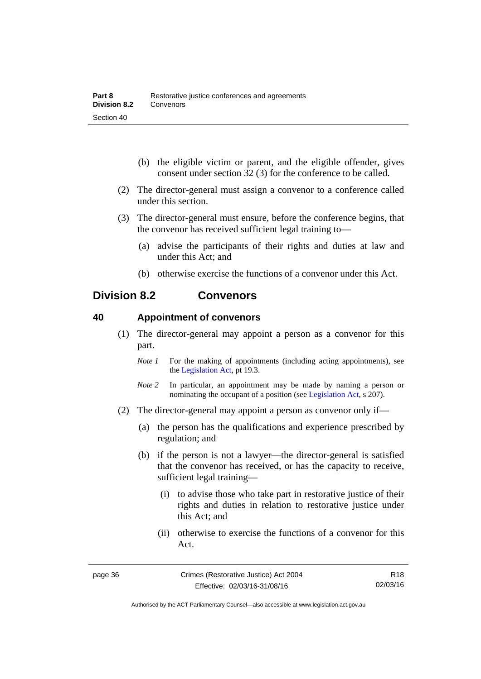- (b) the eligible victim or parent, and the eligible offender, gives consent under section 32 (3) for the conference to be called.
- (2) The director-general must assign a convenor to a conference called under this section.
- (3) The director-general must ensure, before the conference begins, that the convenor has received sufficient legal training to—
	- (a) advise the participants of their rights and duties at law and under this Act; and
	- (b) otherwise exercise the functions of a convenor under this Act.

## **Division 8.2 Convenors**

#### **40 Appointment of convenors**

- (1) The director-general may appoint a person as a convenor for this part.
	- *Note 1* For the making of appointments (including acting appointments), see the [Legislation Act,](http://www.legislation.act.gov.au/a/2001-14) pt 19.3.
	- *Note 2* In particular, an appointment may be made by naming a person or nominating the occupant of a position (see [Legislation Act](http://www.legislation.act.gov.au/a/2001-14), s 207).
- (2) The director-general may appoint a person as convenor only if—
	- (a) the person has the qualifications and experience prescribed by regulation; and
	- (b) if the person is not a lawyer—the director-general is satisfied that the convenor has received, or has the capacity to receive, sufficient legal training—
		- (i) to advise those who take part in restorative justice of their rights and duties in relation to restorative justice under this Act; and
		- (ii) otherwise to exercise the functions of a convenor for this Act.

R18 02/03/16

Authorised by the ACT Parliamentary Counsel—also accessible at www.legislation.act.gov.au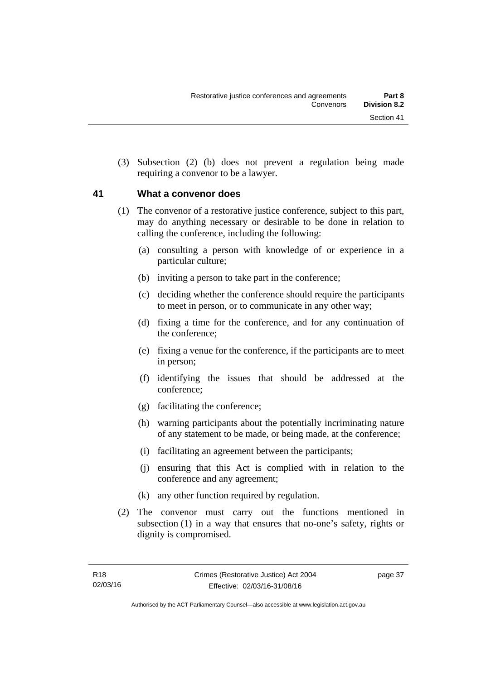(3) Subsection (2) (b) does not prevent a regulation being made requiring a convenor to be a lawyer.

#### **41 What a convenor does**

- (1) The convenor of a restorative justice conference, subject to this part, may do anything necessary or desirable to be done in relation to calling the conference, including the following:
	- (a) consulting a person with knowledge of or experience in a particular culture;
	- (b) inviting a person to take part in the conference;
	- (c) deciding whether the conference should require the participants to meet in person, or to communicate in any other way;
	- (d) fixing a time for the conference, and for any continuation of the conference;
	- (e) fixing a venue for the conference, if the participants are to meet in person;
	- (f) identifying the issues that should be addressed at the conference;
	- (g) facilitating the conference;
	- (h) warning participants about the potentially incriminating nature of any statement to be made, or being made, at the conference;
	- (i) facilitating an agreement between the participants;
	- (j) ensuring that this Act is complied with in relation to the conference and any agreement;
	- (k) any other function required by regulation.
- (2) The convenor must carry out the functions mentioned in subsection (1) in a way that ensures that no-one's safety, rights or dignity is compromised.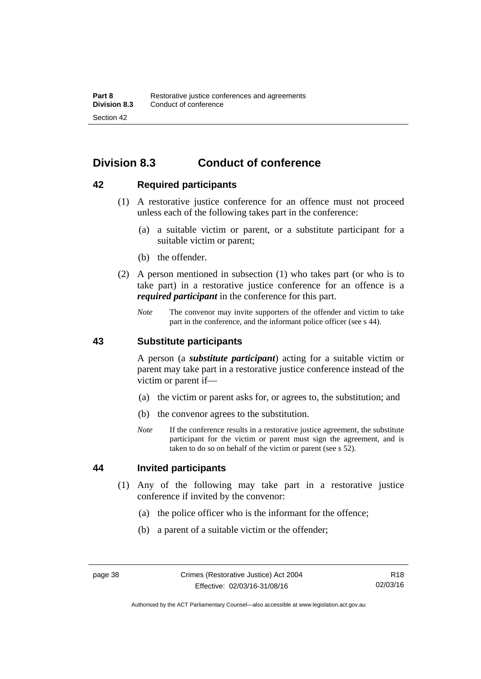## **Division 8.3 Conduct of conference**

#### **42 Required participants**

- (1) A restorative justice conference for an offence must not proceed unless each of the following takes part in the conference:
	- (a) a suitable victim or parent, or a substitute participant for a suitable victim or parent;
	- (b) the offender.
- (2) A person mentioned in subsection (1) who takes part (or who is to take part) in a restorative justice conference for an offence is a *required participant* in the conference for this part.
	- *Note* The convenor may invite supporters of the offender and victim to take part in the conference, and the informant police officer (see s 44).

#### **43 Substitute participants**

A person (a *substitute participant*) acting for a suitable victim or parent may take part in a restorative justice conference instead of the victim or parent if—

- (a) the victim or parent asks for, or agrees to, the substitution; and
- (b) the convenor agrees to the substitution.
- *Note* If the conference results in a restorative justice agreement, the substitute participant for the victim or parent must sign the agreement, and is taken to do so on behalf of the victim or parent (see s 52).

#### **44 Invited participants**

- (1) Any of the following may take part in a restorative justice conference if invited by the convenor:
	- (a) the police officer who is the informant for the offence;
	- (b) a parent of a suitable victim or the offender;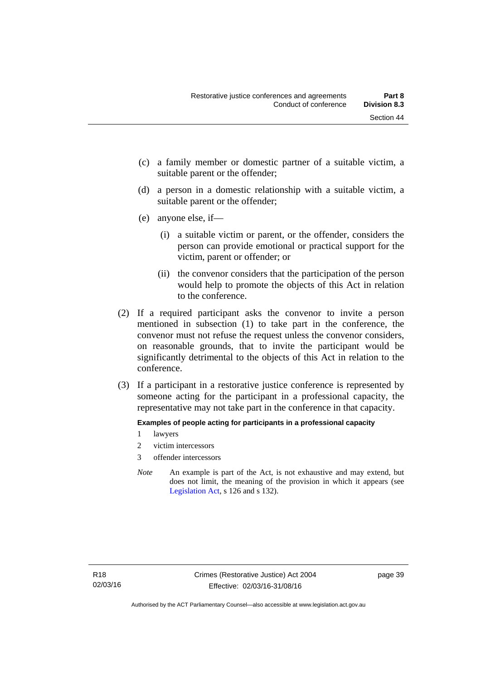- (c) a family member or domestic partner of a suitable victim, a suitable parent or the offender;
- (d) a person in a domestic relationship with a suitable victim, a suitable parent or the offender;
- (e) anyone else, if—
	- (i) a suitable victim or parent, or the offender, considers the person can provide emotional or practical support for the victim, parent or offender; or
	- (ii) the convenor considers that the participation of the person would help to promote the objects of this Act in relation to the conference.
- (2) If a required participant asks the convenor to invite a person mentioned in subsection (1) to take part in the conference, the convenor must not refuse the request unless the convenor considers, on reasonable grounds, that to invite the participant would be significantly detrimental to the objects of this Act in relation to the conference.
- (3) If a participant in a restorative justice conference is represented by someone acting for the participant in a professional capacity, the representative may not take part in the conference in that capacity.

#### **Examples of people acting for participants in a professional capacity**

- 1 lawyers
- 2 victim intercessors
- 3 offender intercessors
- *Note* An example is part of the Act, is not exhaustive and may extend, but does not limit, the meaning of the provision in which it appears (see [Legislation Act,](http://www.legislation.act.gov.au/a/2001-14) s 126 and s 132).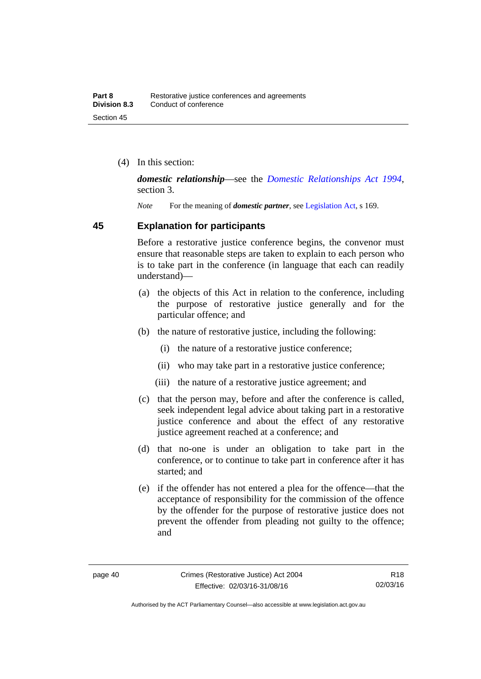(4) In this section:

*domestic relationship*—see the *[Domestic Relationships Act 1994](http://www.legislation.act.gov.au/a/1994-28)*, section 3.

*Note* For the meaning of *domestic partner*, see [Legislation Act](http://www.legislation.act.gov.au/a/2001-14), s 169.

#### **45 Explanation for participants**

Before a restorative justice conference begins, the convenor must ensure that reasonable steps are taken to explain to each person who is to take part in the conference (in language that each can readily understand)—

- (a) the objects of this Act in relation to the conference, including the purpose of restorative justice generally and for the particular offence; and
- (b) the nature of restorative justice, including the following:
	- (i) the nature of a restorative justice conference;
	- (ii) who may take part in a restorative justice conference;
	- (iii) the nature of a restorative justice agreement; and
- (c) that the person may, before and after the conference is called, seek independent legal advice about taking part in a restorative justice conference and about the effect of any restorative justice agreement reached at a conference; and
- (d) that no-one is under an obligation to take part in the conference, or to continue to take part in conference after it has started; and
- (e) if the offender has not entered a plea for the offence—that the acceptance of responsibility for the commission of the offence by the offender for the purpose of restorative justice does not prevent the offender from pleading not guilty to the offence; and

Authorised by the ACT Parliamentary Counsel—also accessible at www.legislation.act.gov.au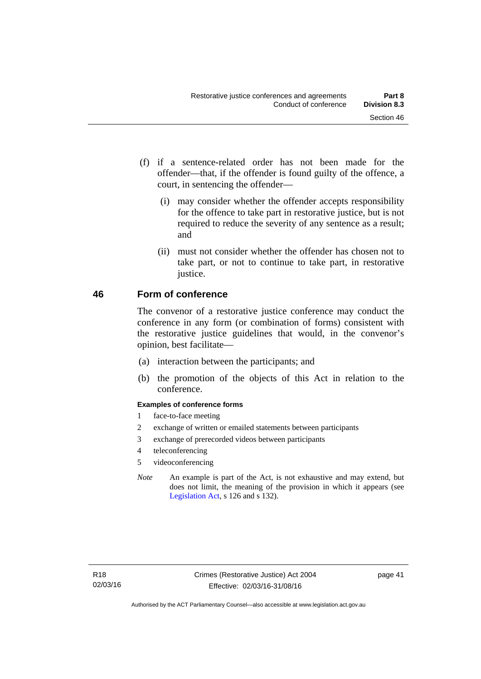- (f) if a sentence-related order has not been made for the offender—that, if the offender is found guilty of the offence, a court, in sentencing the offender—
	- (i) may consider whether the offender accepts responsibility for the offence to take part in restorative justice, but is not required to reduce the severity of any sentence as a result; and
	- (ii) must not consider whether the offender has chosen not to take part, or not to continue to take part, in restorative justice.

### **46 Form of conference**

The convenor of a restorative justice conference may conduct the conference in any form (or combination of forms) consistent with the restorative justice guidelines that would, in the convenor's opinion, best facilitate—

- (a) interaction between the participants; and
- (b) the promotion of the objects of this Act in relation to the conference.

#### **Examples of conference forms**

- 1 face-to-face meeting
- 2 exchange of written or emailed statements between participants
- 3 exchange of prerecorded videos between participants
- 4 teleconferencing
- 5 videoconferencing
- *Note* An example is part of the Act, is not exhaustive and may extend, but does not limit, the meaning of the provision in which it appears (see [Legislation Act,](http://www.legislation.act.gov.au/a/2001-14) s 126 and s 132).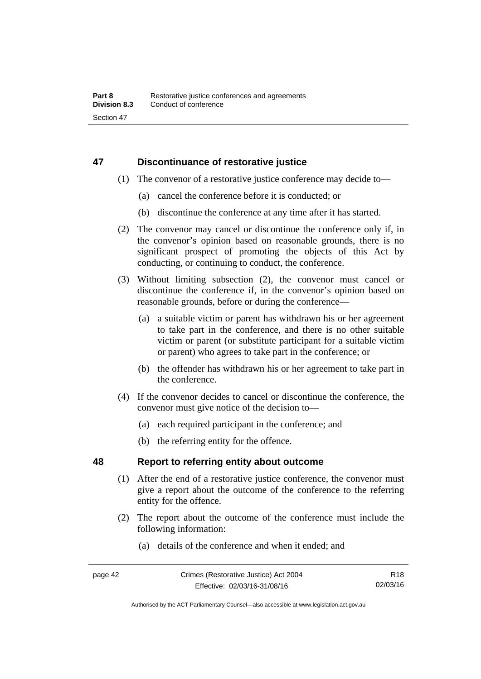### **47 Discontinuance of restorative justice**

- (1) The convenor of a restorative justice conference may decide to—
	- (a) cancel the conference before it is conducted; or
	- (b) discontinue the conference at any time after it has started.
- (2) The convenor may cancel or discontinue the conference only if, in the convenor's opinion based on reasonable grounds, there is no significant prospect of promoting the objects of this Act by conducting, or continuing to conduct, the conference.
- (3) Without limiting subsection (2), the convenor must cancel or discontinue the conference if, in the convenor's opinion based on reasonable grounds, before or during the conference—
	- (a) a suitable victim or parent has withdrawn his or her agreement to take part in the conference, and there is no other suitable victim or parent (or substitute participant for a suitable victim or parent) who agrees to take part in the conference; or
	- (b) the offender has withdrawn his or her agreement to take part in the conference.
- (4) If the convenor decides to cancel or discontinue the conference, the convenor must give notice of the decision to—
	- (a) each required participant in the conference; and
	- (b) the referring entity for the offence.

#### **48 Report to referring entity about outcome**

- (1) After the end of a restorative justice conference, the convenor must give a report about the outcome of the conference to the referring entity for the offence.
- (2) The report about the outcome of the conference must include the following information:
	- (a) details of the conference and when it ended; and

Authorised by the ACT Parliamentary Counsel—also accessible at www.legislation.act.gov.au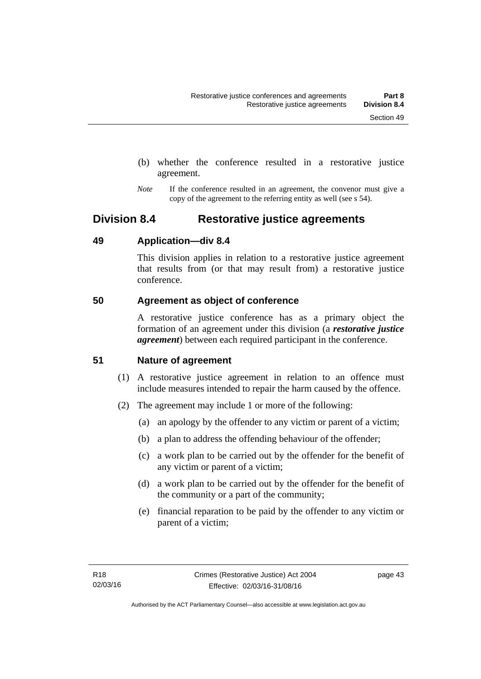- (b) whether the conference resulted in a restorative justice agreement.
- *Note* If the conference resulted in an agreement, the convenor must give a copy of the agreement to the referring entity as well (see s 54).

## **Division 8.4 Restorative justice agreements**

#### **49 Application—div 8.4**

This division applies in relation to a restorative justice agreement that results from (or that may result from) a restorative justice conference.

### **50 Agreement as object of conference**

A restorative justice conference has as a primary object the formation of an agreement under this division (a *restorative justice agreement*) between each required participant in the conference.

### **51 Nature of agreement**

- (1) A restorative justice agreement in relation to an offence must include measures intended to repair the harm caused by the offence.
- (2) The agreement may include 1 or more of the following:
	- (a) an apology by the offender to any victim or parent of a victim;
	- (b) a plan to address the offending behaviour of the offender;
	- (c) a work plan to be carried out by the offender for the benefit of any victim or parent of a victim;
	- (d) a work plan to be carried out by the offender for the benefit of the community or a part of the community;
	- (e) financial reparation to be paid by the offender to any victim or parent of a victim;

page 43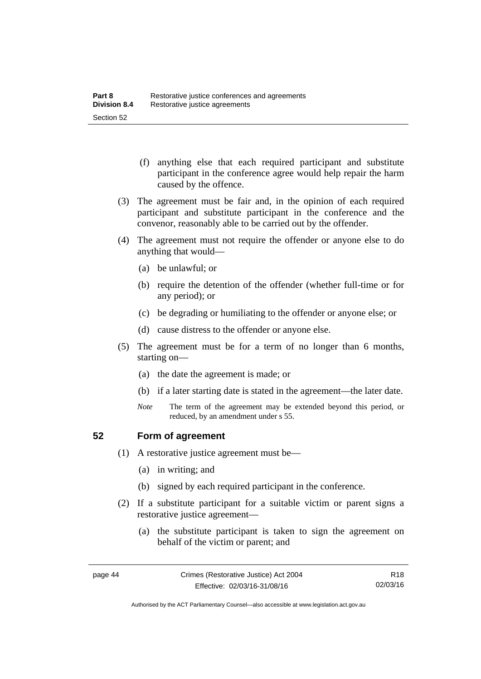- (f) anything else that each required participant and substitute participant in the conference agree would help repair the harm caused by the offence.
- (3) The agreement must be fair and, in the opinion of each required participant and substitute participant in the conference and the convenor, reasonably able to be carried out by the offender.
- (4) The agreement must not require the offender or anyone else to do anything that would—
	- (a) be unlawful; or
	- (b) require the detention of the offender (whether full-time or for any period); or
	- (c) be degrading or humiliating to the offender or anyone else; or
	- (d) cause distress to the offender or anyone else.
- (5) The agreement must be for a term of no longer than 6 months, starting on—
	- (a) the date the agreement is made; or
	- (b) if a later starting date is stated in the agreement—the later date.
	- *Note* The term of the agreement may be extended beyond this period, or reduced, by an amendment under s 55.

#### **52 Form of agreement**

- (1) A restorative justice agreement must be—
	- (a) in writing; and
	- (b) signed by each required participant in the conference.
- (2) If a substitute participant for a suitable victim or parent signs a restorative justice agreement—
	- (a) the substitute participant is taken to sign the agreement on behalf of the victim or parent; and

Authorised by the ACT Parliamentary Counsel—also accessible at www.legislation.act.gov.au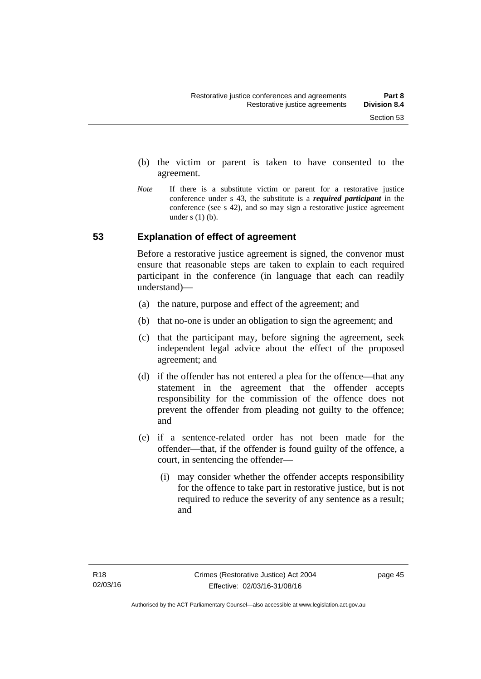- (b) the victim or parent is taken to have consented to the agreement.
- *Note* If there is a substitute victim or parent for a restorative justice conference under s 43, the substitute is a *required participant* in the conference (see s 42), and so may sign a restorative justice agreement under  $s(1)(b)$ .

#### **53 Explanation of effect of agreement**

Before a restorative justice agreement is signed, the convenor must ensure that reasonable steps are taken to explain to each required participant in the conference (in language that each can readily understand)—

- (a) the nature, purpose and effect of the agreement; and
- (b) that no-one is under an obligation to sign the agreement; and
- (c) that the participant may, before signing the agreement, seek independent legal advice about the effect of the proposed agreement; and
- (d) if the offender has not entered a plea for the offence—that any statement in the agreement that the offender accepts responsibility for the commission of the offence does not prevent the offender from pleading not guilty to the offence; and
- (e) if a sentence-related order has not been made for the offender—that, if the offender is found guilty of the offence, a court, in sentencing the offender—
	- (i) may consider whether the offender accepts responsibility for the offence to take part in restorative justice, but is not required to reduce the severity of any sentence as a result: and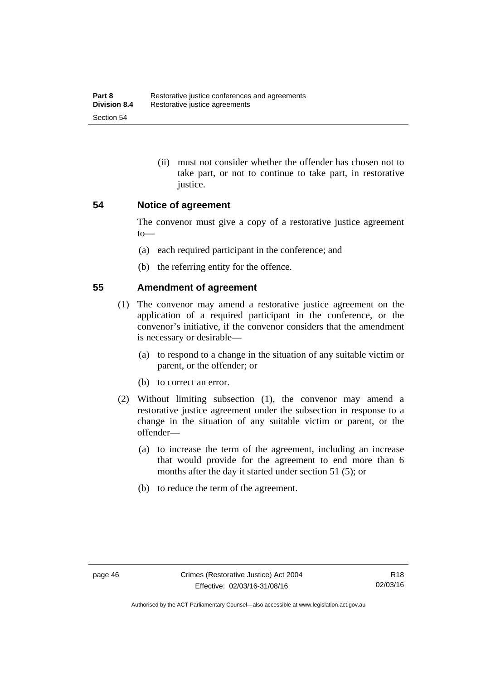(ii) must not consider whether the offender has chosen not to take part, or not to continue to take part, in restorative justice.

#### **54 Notice of agreement**

The convenor must give a copy of a restorative justice agreement to—

- (a) each required participant in the conference; and
- (b) the referring entity for the offence.

#### **55 Amendment of agreement**

- (1) The convenor may amend a restorative justice agreement on the application of a required participant in the conference, or the convenor's initiative, if the convenor considers that the amendment is necessary or desirable—
	- (a) to respond to a change in the situation of any suitable victim or parent, or the offender; or
	- (b) to correct an error.
- (2) Without limiting subsection (1), the convenor may amend a restorative justice agreement under the subsection in response to a change in the situation of any suitable victim or parent, or the offender—
	- (a) to increase the term of the agreement, including an increase that would provide for the agreement to end more than 6 months after the day it started under section 51 (5); or
	- (b) to reduce the term of the agreement.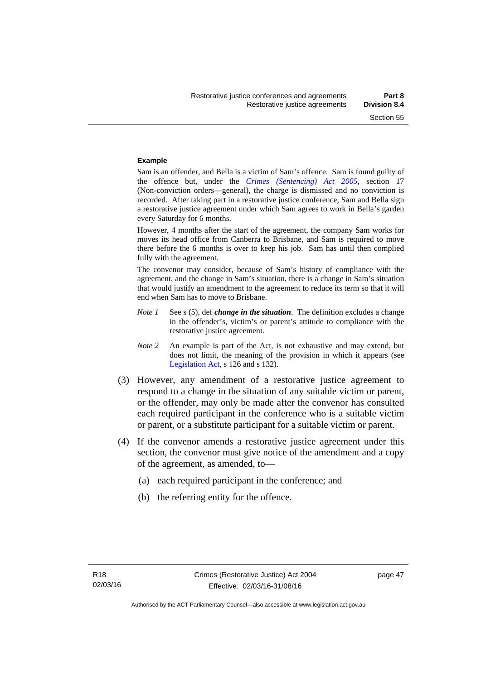#### **Example**

Sam is an offender, and Bella is a victim of Sam's offence. Sam is found guilty of the offence but, under the *[Crimes \(Sentencing\) Act 2005](http://www.legislation.act.gov.au/a/2005-58)*, section 17 (Non-conviction orders—general), the charge is dismissed and no conviction is recorded. After taking part in a restorative justice conference, Sam and Bella sign a restorative justice agreement under which Sam agrees to work in Bella's garden every Saturday for 6 months.

However, 4 months after the start of the agreement, the company Sam works for moves its head office from Canberra to Brisbane, and Sam is required to move there before the 6 months is over to keep his job. Sam has until then complied fully with the agreement.

The convenor may consider, because of Sam's history of compliance with the agreement, and the change in Sam's situation, there is a change in Sam's situation that would justify an amendment to the agreement to reduce its term so that it will end when Sam has to move to Brisbane.

- *Note 1* See s (5), def *change in the situation*. The definition excludes a change in the offender's, victim's or parent's attitude to compliance with the restorative justice agreement.
- *Note 2* An example is part of the Act, is not exhaustive and may extend, but does not limit, the meaning of the provision in which it appears (see [Legislation Act,](http://www.legislation.act.gov.au/a/2001-14) s 126 and s 132).
- (3) However, any amendment of a restorative justice agreement to respond to a change in the situation of any suitable victim or parent, or the offender, may only be made after the convenor has consulted each required participant in the conference who is a suitable victim or parent, or a substitute participant for a suitable victim or parent.
- (4) If the convenor amends a restorative justice agreement under this section, the convenor must give notice of the amendment and a copy of the agreement, as amended, to—
	- (a) each required participant in the conference; and
	- (b) the referring entity for the offence.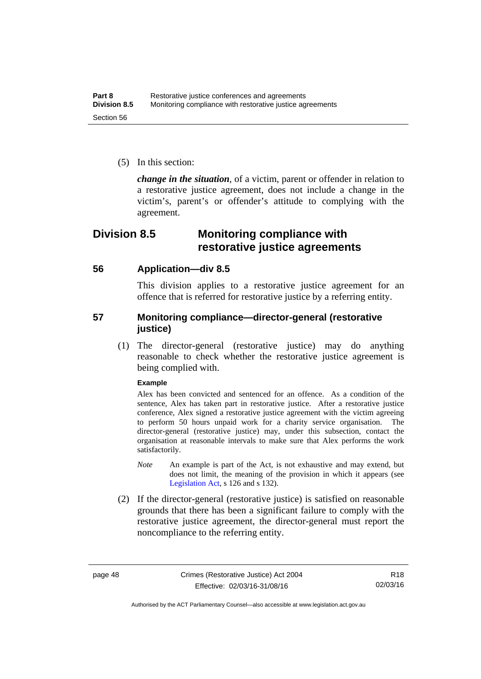(5) In this section:

*change in the situation*, of a victim, parent or offender in relation to a restorative justice agreement, does not include a change in the victim's, parent's or offender's attitude to complying with the agreement.

## **Division 8.5 Monitoring compliance with restorative justice agreements**

#### **56 Application—div 8.5**

This division applies to a restorative justice agreement for an offence that is referred for restorative justice by a referring entity.

### **57 Monitoring compliance—director-general (restorative justice)**

 (1) The director-general (restorative justice) may do anything reasonable to check whether the restorative justice agreement is being complied with.

#### **Example**

Alex has been convicted and sentenced for an offence. As a condition of the sentence, Alex has taken part in restorative justice. After a restorative justice conference, Alex signed a restorative justice agreement with the victim agreeing to perform 50 hours unpaid work for a charity service organisation. The director-general (restorative justice) may, under this subsection, contact the organisation at reasonable intervals to make sure that Alex performs the work satisfactorily.

- *Note* An example is part of the Act, is not exhaustive and may extend, but does not limit, the meaning of the provision in which it appears (see [Legislation Act,](http://www.legislation.act.gov.au/a/2001-14) s 126 and s 132).
- (2) If the director-general (restorative justice) is satisfied on reasonable grounds that there has been a significant failure to comply with the restorative justice agreement, the director-general must report the noncompliance to the referring entity.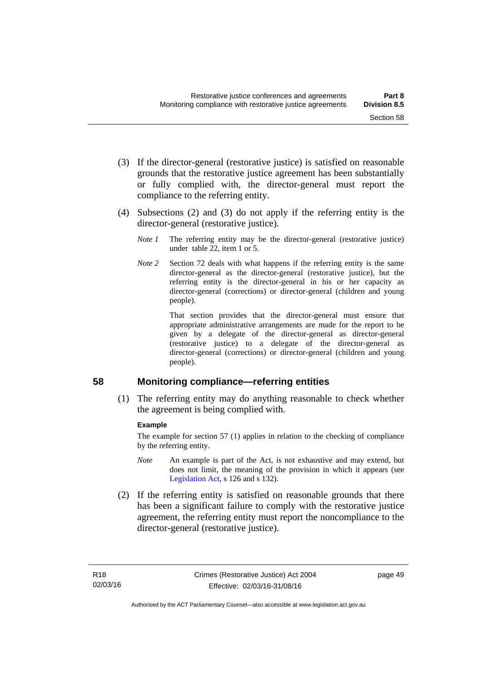- (3) If the director-general (restorative justice) is satisfied on reasonable grounds that the restorative justice agreement has been substantially or fully complied with, the director-general must report the compliance to the referring entity.
- (4) Subsections (2) and (3) do not apply if the referring entity is the director-general (restorative justice).
	- *Note 1* The referring entity may be the director-general (restorative justice) under table 22, item 1 or 5.
	- *Note 2* Section 72 deals with what happens if the referring entity is the same director-general as the director-general (restorative justice), but the referring entity is the director-general in his or her capacity as director-general (corrections) or director-general (children and young people).

 That section provides that the director-general must ensure that appropriate administrative arrangements are made for the report to be given by a delegate of the director-general as director-general (restorative justice) to a delegate of the director-general as director-general (corrections) or director-general (children and young people).

#### **58 Monitoring compliance—referring entities**

 (1) The referring entity may do anything reasonable to check whether the agreement is being complied with.

#### **Example**

The example for section 57 (1) applies in relation to the checking of compliance by the referring entity.

- *Note* An example is part of the Act, is not exhaustive and may extend, but does not limit, the meaning of the provision in which it appears (see [Legislation Act,](http://www.legislation.act.gov.au/a/2001-14) s 126 and s 132).
- (2) If the referring entity is satisfied on reasonable grounds that there has been a significant failure to comply with the restorative justice agreement, the referring entity must report the noncompliance to the director-general (restorative justice).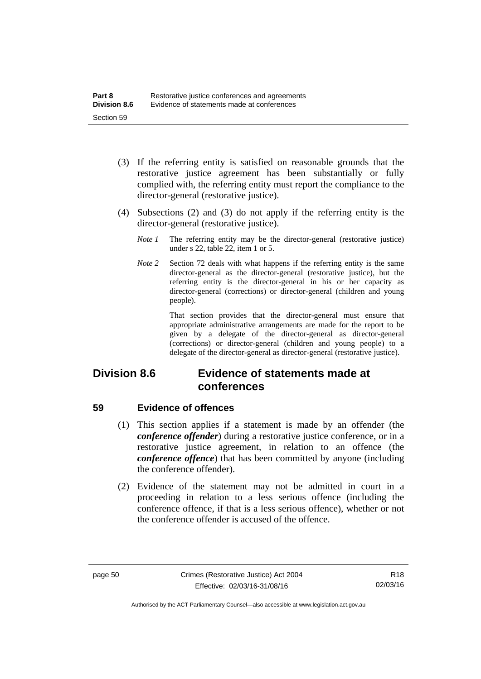- (3) If the referring entity is satisfied on reasonable grounds that the restorative justice agreement has been substantially or fully complied with, the referring entity must report the compliance to the director-general (restorative justice).
- (4) Subsections (2) and (3) do not apply if the referring entity is the director-general (restorative justice).
	- *Note 1* The referring entity may be the director-general (restorative justice) under s 22, table 22, item 1 or 5.
	- *Note 2* Section 72 deals with what happens if the referring entity is the same director-general as the director-general (restorative justice), but the referring entity is the director-general in his or her capacity as director-general (corrections) or director-general (children and young people).

 That section provides that the director-general must ensure that appropriate administrative arrangements are made for the report to be given by a delegate of the director-general as director-general (corrections) or director-general (children and young people) to a delegate of the director-general as director-general (restorative justice).

## **Division 8.6 Evidence of statements made at conferences**

#### **59 Evidence of offences**

- (1) This section applies if a statement is made by an offender (the *conference offender*) during a restorative justice conference, or in a restorative justice agreement, in relation to an offence (the *conference offence*) that has been committed by anyone (including the conference offender).
- (2) Evidence of the statement may not be admitted in court in a proceeding in relation to a less serious offence (including the conference offence, if that is a less serious offence), whether or not the conference offender is accused of the offence.

Authorised by the ACT Parliamentary Counsel—also accessible at www.legislation.act.gov.au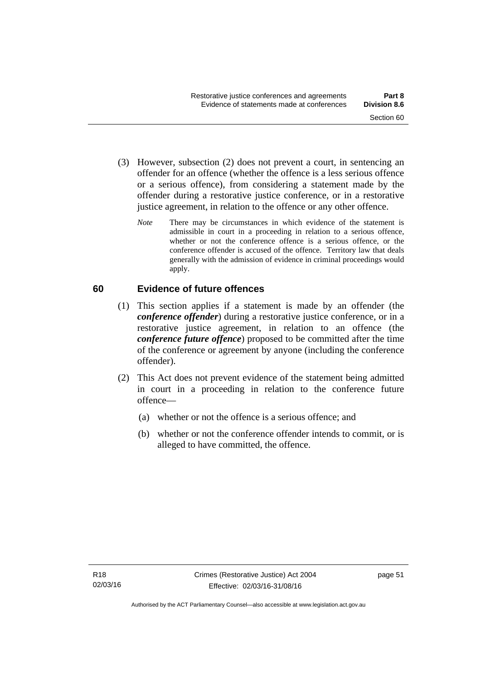- (3) However, subsection (2) does not prevent a court, in sentencing an offender for an offence (whether the offence is a less serious offence or a serious offence), from considering a statement made by the offender during a restorative justice conference, or in a restorative justice agreement, in relation to the offence or any other offence.
	- *Note* There may be circumstances in which evidence of the statement is admissible in court in a proceeding in relation to a serious offence, whether or not the conference offence is a serious offence, or the conference offender is accused of the offence. Territory law that deals generally with the admission of evidence in criminal proceedings would apply.

### **60 Evidence of future offences**

- (1) This section applies if a statement is made by an offender (the *conference offender*) during a restorative justice conference, or in a restorative justice agreement, in relation to an offence (the *conference future offence*) proposed to be committed after the time of the conference or agreement by anyone (including the conference offender).
- (2) This Act does not prevent evidence of the statement being admitted in court in a proceeding in relation to the conference future offence—
	- (a) whether or not the offence is a serious offence; and
	- (b) whether or not the conference offender intends to commit, or is alleged to have committed, the offence.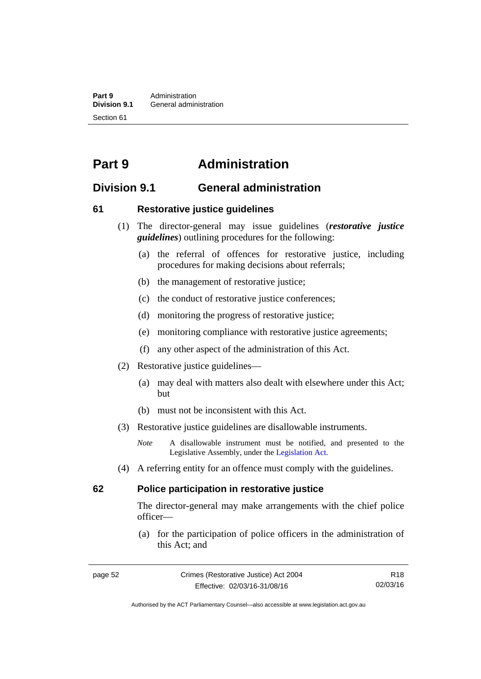**Part 9 Administration**<br>**Division 9.1 General adminity General administration** Section 61

# **Part 9 Administration**

## **Division 9.1 General administration**

#### **61 Restorative justice guidelines**

- (1) The director-general may issue guidelines (*restorative justice guidelines*) outlining procedures for the following:
	- (a) the referral of offences for restorative justice, including procedures for making decisions about referrals;
	- (b) the management of restorative justice;
	- (c) the conduct of restorative justice conferences;
	- (d) monitoring the progress of restorative justice;
	- (e) monitoring compliance with restorative justice agreements;
	- (f) any other aspect of the administration of this Act.
- (2) Restorative justice guidelines—
	- (a) may deal with matters also dealt with elsewhere under this Act; but
	- (b) must not be inconsistent with this Act.
- (3) Restorative justice guidelines are disallowable instruments.

*Note* A disallowable instrument must be notified, and presented to the Legislative Assembly, under the [Legislation Act.](http://www.legislation.act.gov.au/a/2001-14)

(4) A referring entity for an offence must comply with the guidelines.

#### **62 Police participation in restorative justice**

The director-general may make arrangements with the chief police officer—

 (a) for the participation of police officers in the administration of this Act; and

Authorised by the ACT Parliamentary Counsel—also accessible at www.legislation.act.gov.au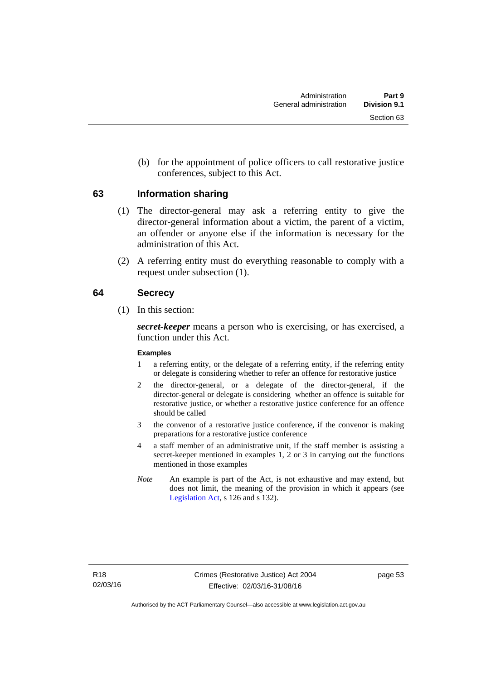(b) for the appointment of police officers to call restorative justice conferences, subject to this Act.

#### **63 Information sharing**

- (1) The director-general may ask a referring entity to give the director-general information about a victim, the parent of a victim, an offender or anyone else if the information is necessary for the administration of this Act.
- (2) A referring entity must do everything reasonable to comply with a request under subsection (1).

#### **64 Secrecy**

(1) In this section:

*secret-keeper* means a person who is exercising, or has exercised, a function under this Act.

#### **Examples**

- 1 a referring entity, or the delegate of a referring entity, if the referring entity or delegate is considering whether to refer an offence for restorative justice
- 2 the director-general, or a delegate of the director-general, if the director-general or delegate is considering whether an offence is suitable for restorative justice, or whether a restorative justice conference for an offence should be called
- 3 the convenor of a restorative justice conference, if the convenor is making preparations for a restorative justice conference
- 4 a staff member of an administrative unit, if the staff member is assisting a secret-keeper mentioned in examples 1, 2 or 3 in carrying out the functions mentioned in those examples
- *Note* An example is part of the Act, is not exhaustive and may extend, but does not limit, the meaning of the provision in which it appears (see [Legislation Act,](http://www.legislation.act.gov.au/a/2001-14) s 126 and s 132).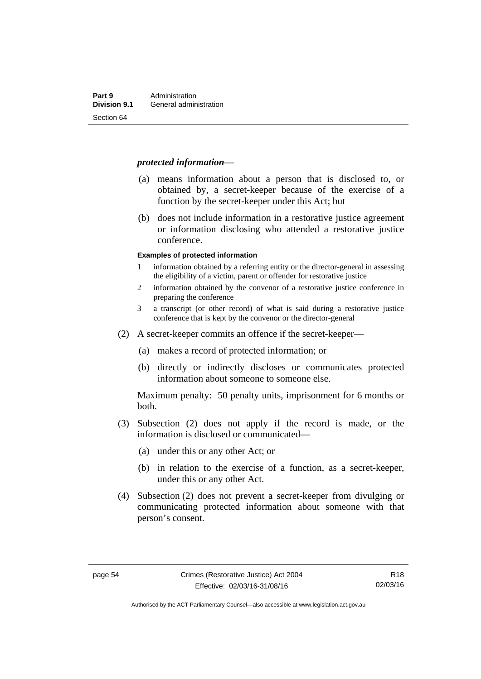#### *protected information*—

- (a) means information about a person that is disclosed to, or obtained by, a secret-keeper because of the exercise of a function by the secret-keeper under this Act; but
- (b) does not include information in a restorative justice agreement or information disclosing who attended a restorative justice conference.

#### **Examples of protected information**

- 1 information obtained by a referring entity or the director-general in assessing the eligibility of a victim, parent or offender for restorative justice
- 2 information obtained by the convenor of a restorative justice conference in preparing the conference
- 3 a transcript (or other record) of what is said during a restorative justice conference that is kept by the convenor or the director-general
- (2) A secret-keeper commits an offence if the secret-keeper—
	- (a) makes a record of protected information; or
	- (b) directly or indirectly discloses or communicates protected information about someone to someone else.

Maximum penalty: 50 penalty units, imprisonment for 6 months or both.

- (3) Subsection (2) does not apply if the record is made, or the information is disclosed or communicated—
	- (a) under this or any other Act; or
	- (b) in relation to the exercise of a function, as a secret-keeper, under this or any other Act.
- (4) Subsection (2) does not prevent a secret-keeper from divulging or communicating protected information about someone with that person's consent.

Authorised by the ACT Parliamentary Counsel—also accessible at www.legislation.act.gov.au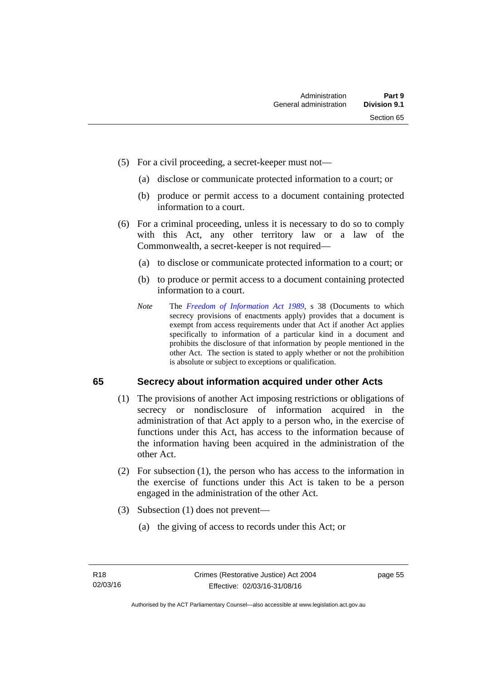- (5) For a civil proceeding, a secret-keeper must not—
	- (a) disclose or communicate protected information to a court; or
	- (b) produce or permit access to a document containing protected information to a court.
- (6) For a criminal proceeding, unless it is necessary to do so to comply with this Act, any other territory law or a law of the Commonwealth, a secret-keeper is not required—
	- (a) to disclose or communicate protected information to a court; or
	- (b) to produce or permit access to a document containing protected information to a court.
	- *Note* The *[Freedom of Information Act 1989](http://www.legislation.act.gov.au/a/alt_a1989-46co)*, s 38 (Documents to which secrecy provisions of enactments apply) provides that a document is exempt from access requirements under that Act if another Act applies specifically to information of a particular kind in a document and prohibits the disclosure of that information by people mentioned in the other Act. The section is stated to apply whether or not the prohibition is absolute or subject to exceptions or qualification.

### **65 Secrecy about information acquired under other Acts**

- (1) The provisions of another Act imposing restrictions or obligations of secrecy or nondisclosure of information acquired in the administration of that Act apply to a person who, in the exercise of functions under this Act, has access to the information because of the information having been acquired in the administration of the other Act.
- (2) For subsection (1), the person who has access to the information in the exercise of functions under this Act is taken to be a person engaged in the administration of the other Act.
- (3) Subsection (1) does not prevent—
	- (a) the giving of access to records under this Act; or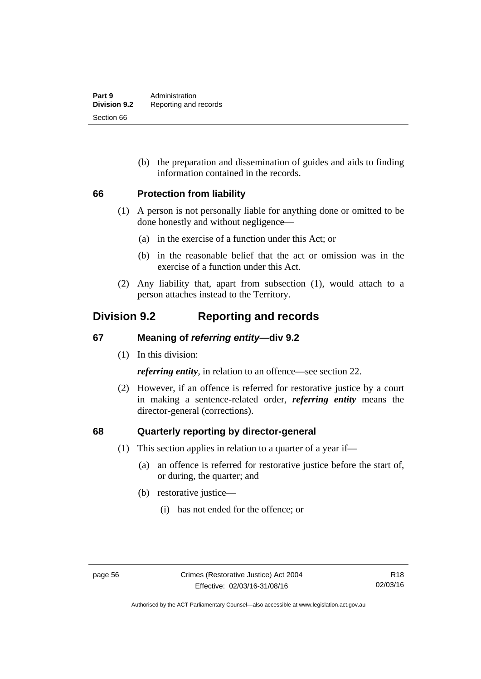(b) the preparation and dissemination of guides and aids to finding information contained in the records.

#### **66 Protection from liability**

- (1) A person is not personally liable for anything done or omitted to be done honestly and without negligence—
	- (a) in the exercise of a function under this Act; or
	- (b) in the reasonable belief that the act or omission was in the exercise of a function under this Act.
- (2) Any liability that, apart from subsection (1), would attach to a person attaches instead to the Territory.

## **Division 9.2 Reporting and records**

### **67 Meaning of** *referring entity—***div 9.2**

(1) In this division:

*referring entity*, in relation to an offence—see section 22.

 (2) However, if an offence is referred for restorative justice by a court in making a sentence-related order, *referring entity* means the director-general (corrections).

#### **68 Quarterly reporting by director-general**

- (1) This section applies in relation to a quarter of a year if—
	- (a) an offence is referred for restorative justice before the start of, or during, the quarter; and
	- (b) restorative justice—
		- (i) has not ended for the offence; or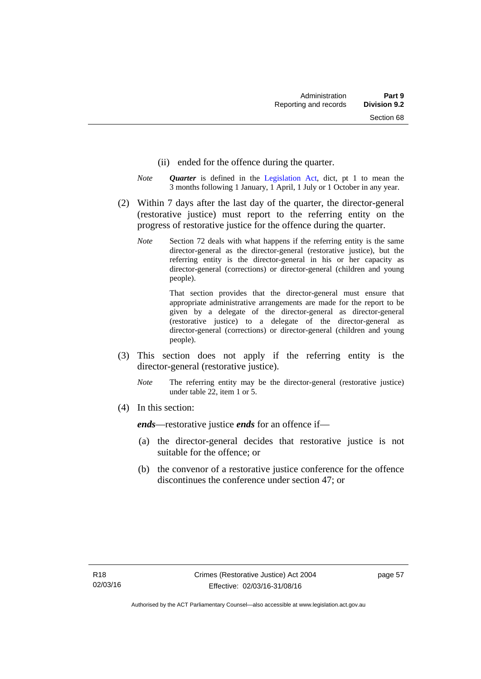- (ii) ended for the offence during the quarter.
- *Note Quarter* is defined in the [Legislation Act](http://www.legislation.act.gov.au/a/2001-14), dict, pt 1 to mean the 3 months following 1 January, 1 April, 1 July or 1 October in any year.
- (2) Within 7 days after the last day of the quarter, the director-general (restorative justice) must report to the referring entity on the progress of restorative justice for the offence during the quarter.
	- *Note* Section 72 deals with what happens if the referring entity is the same director-general as the director-general (restorative justice), but the referring entity is the director-general in his or her capacity as director-general (corrections) or director-general (children and young people).

 That section provides that the director-general must ensure that appropriate administrative arrangements are made for the report to be given by a delegate of the director-general as director-general (restorative justice) to a delegate of the director-general as director-general (corrections) or director-general (children and young people).

- (3) This section does not apply if the referring entity is the director-general (restorative justice).
	- *Note* The referring entity may be the director-general (restorative justice) under table 22, item 1 or 5.
- (4) In this section:

*ends*—restorative justice *ends* for an offence if—

- (a) the director-general decides that restorative justice is not suitable for the offence; or
- (b) the convenor of a restorative justice conference for the offence discontinues the conference under section 47; or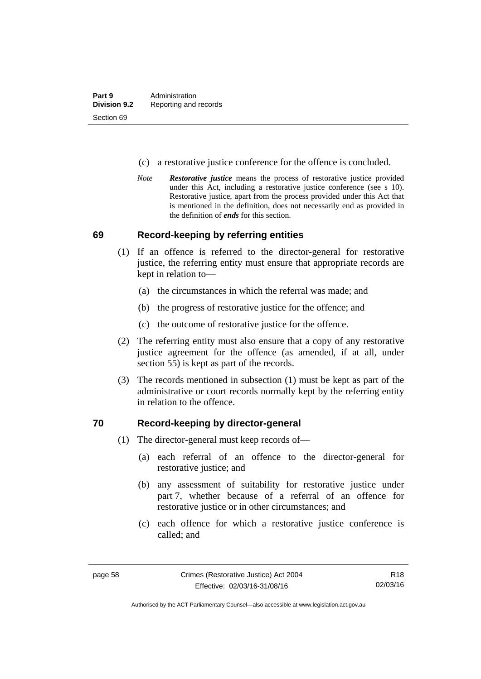- (c) a restorative justice conference for the offence is concluded.
- *Note Restorative justice* means the process of restorative justice provided under this Act, including a restorative justice conference (see s 10). Restorative justice, apart from the process provided under this Act that is mentioned in the definition, does not necessarily end as provided in the definition of *ends* for this section.

#### **69 Record-keeping by referring entities**

- (1) If an offence is referred to the director-general for restorative justice, the referring entity must ensure that appropriate records are kept in relation to—
	- (a) the circumstances in which the referral was made; and
	- (b) the progress of restorative justice for the offence; and
	- (c) the outcome of restorative justice for the offence.
- (2) The referring entity must also ensure that a copy of any restorative justice agreement for the offence (as amended, if at all, under section 55) is kept as part of the records.
- (3) The records mentioned in subsection (1) must be kept as part of the administrative or court records normally kept by the referring entity in relation to the offence.

#### **70 Record-keeping by director-general**

- (1) The director-general must keep records of—
	- (a) each referral of an offence to the director-general for restorative justice; and
	- (b) any assessment of suitability for restorative justice under part 7, whether because of a referral of an offence for restorative justice or in other circumstances; and
	- (c) each offence for which a restorative justice conference is called; and

R18 02/03/16

Authorised by the ACT Parliamentary Counsel—also accessible at www.legislation.act.gov.au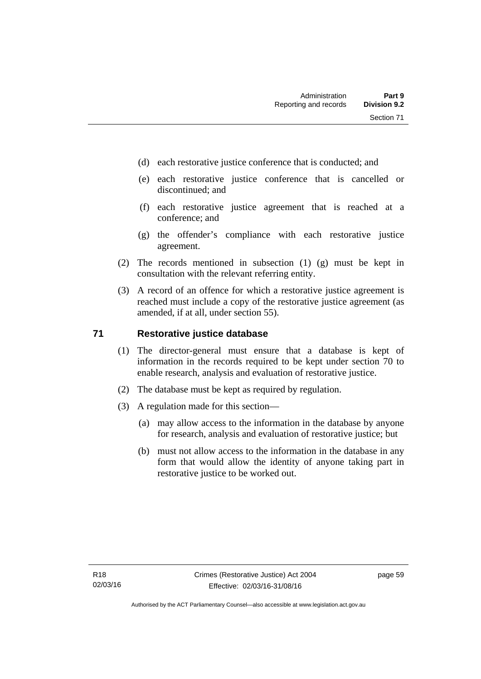- (d) each restorative justice conference that is conducted; and
- (e) each restorative justice conference that is cancelled or discontinued; and
- (f) each restorative justice agreement that is reached at a conference; and
- (g) the offender's compliance with each restorative justice agreement.
- (2) The records mentioned in subsection (1) (g) must be kept in consultation with the relevant referring entity.
- (3) A record of an offence for which a restorative justice agreement is reached must include a copy of the restorative justice agreement (as amended, if at all, under section 55).

#### **71 Restorative justice database**

- (1) The director-general must ensure that a database is kept of information in the records required to be kept under section 70 to enable research, analysis and evaluation of restorative justice.
- (2) The database must be kept as required by regulation.
- (3) A regulation made for this section—
	- (a) may allow access to the information in the database by anyone for research, analysis and evaluation of restorative justice; but
	- (b) must not allow access to the information in the database in any form that would allow the identity of anyone taking part in restorative justice to be worked out.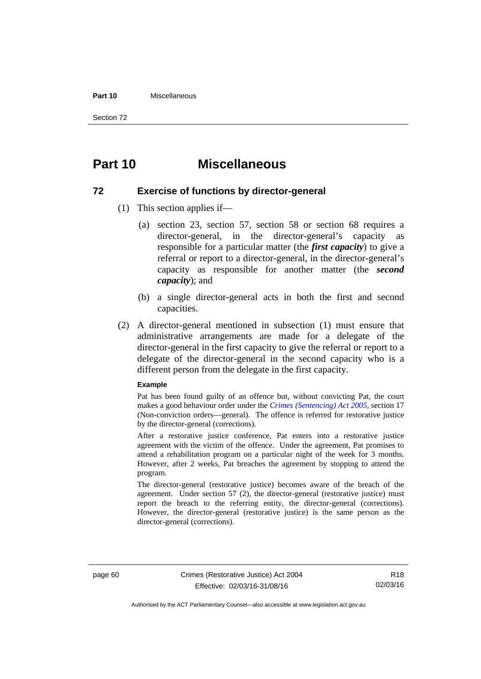#### **Part 10** Miscellaneous

Section 72

## **Part 10 Miscellaneous**

#### **72 Exercise of functions by director-general**

- (1) This section applies if—
	- (a) section 23, section 57, section 58 or section 68 requires a director-general, in the director-general's capacity as responsible for a particular matter (the *first capacity*) to give a referral or report to a director-general, in the director-general's capacity as responsible for another matter (the *second capacity*); and
	- (b) a single director-general acts in both the first and second capacities.
- (2) A director-general mentioned in subsection (1) must ensure that administrative arrangements are made for a delegate of the director-general in the first capacity to give the referral or report to a delegate of the director-general in the second capacity who is a different person from the delegate in the first capacity.

#### **Example**

Pat has been found guilty of an offence but, without convicting Pat, the court makes a good behaviour order under the *[Crimes \(Sentencing\) Act 2005](http://www.legislation.act.gov.au/a/2005-58)*, section 17 (Non-conviction orders—general). The offence is referred for restorative justice by the director-general (corrections).

After a restorative justice conference, Pat enters into a restorative justice agreement with the victim of the offence. Under the agreement, Pat promises to attend a rehabilitation program on a particular night of the week for 3 months. However, after 2 weeks, Pat breaches the agreement by stopping to attend the program.

The director-general (restorative justice) becomes aware of the breach of the agreement. Under section 57 (2), the director-general (restorative justice) must report the breach to the referring entity, the director-general (corrections). However, the director-general (restorative justice) is the same person as the director-general (corrections).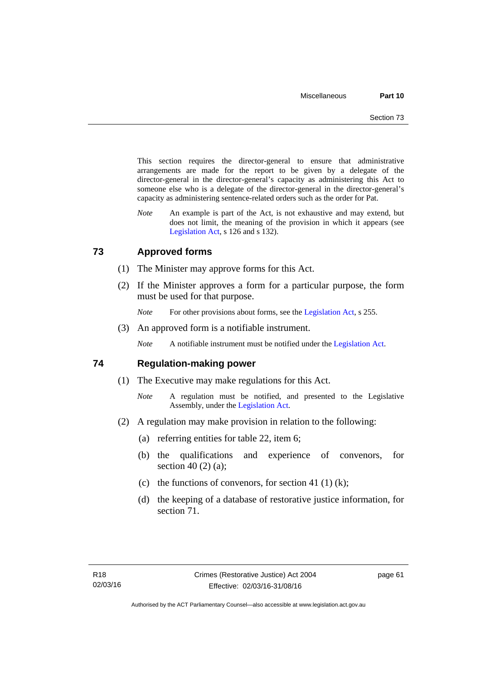This section requires the director-general to ensure that administrative arrangements are made for the report to be given by a delegate of the director-general in the director-general's capacity as administering this Act to someone else who is a delegate of the director-general in the director-general's capacity as administering sentence-related orders such as the order for Pat.

*Note* An example is part of the Act, is not exhaustive and may extend, but does not limit, the meaning of the provision in which it appears (see [Legislation Act,](http://www.legislation.act.gov.au/a/2001-14) s 126 and s 132).

#### **73 Approved forms**

- (1) The Minister may approve forms for this Act.
- (2) If the Minister approves a form for a particular purpose, the form must be used for that purpose.

*Note* For other provisions about forms, see the [Legislation Act,](http://www.legislation.act.gov.au/a/2001-14) s 255.

(3) An approved form is a notifiable instrument.

*Note* A notifiable instrument must be notified under the [Legislation Act](http://www.legislation.act.gov.au/a/2001-14).

#### **74 Regulation-making power**

- (1) The Executive may make regulations for this Act.
	- *Note* A regulation must be notified, and presented to the Legislative Assembly, under the [Legislation Act](http://www.legislation.act.gov.au/a/2001-14).
- (2) A regulation may make provision in relation to the following:
	- (a) referring entities for table 22, item 6;
	- (b) the qualifications and experience of convenors, for section 40 (2) (a);
	- (c) the functions of convenors, for section 41 (1) (k);
	- (d) the keeping of a database of restorative justice information, for section 71.

page 61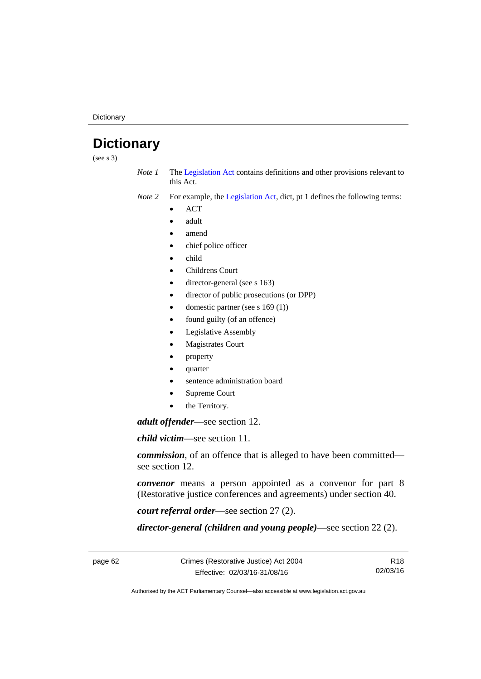**Dictionary** 

# **Dictionary**

(see s 3)

*Note 1* The [Legislation Act](http://www.legislation.act.gov.au/a/2001-14) contains definitions and other provisions relevant to this Act.

*Note 2* For example, the [Legislation Act,](http://www.legislation.act.gov.au/a/2001-14) dict, pt 1 defines the following terms:

- **ACT**
- adult
- amend
- chief police officer
- child
- Childrens Court
- director-general (see s 163)
- director of public prosecutions (or DPP)
- domestic partner (see s 169 (1))
- found guilty (of an offence)
- Legislative Assembly
- Magistrates Court
- property
- quarter
- sentence administration board
- Supreme Court
- the Territory.

*adult offender*—see section 12.

*child victim*—see section 11.

*commission*, of an offence that is alleged to have been committed see section 12.

*convenor* means a person appointed as a convenor for part 8 (Restorative justice conferences and agreements) under section 40.

*court referral order*—see section 27 (2).

*director-general (children and young people)*—see section 22 (2).

page 62 Crimes (Restorative Justice) Act 2004 Effective: 02/03/16-31/08/16

R18 02/03/16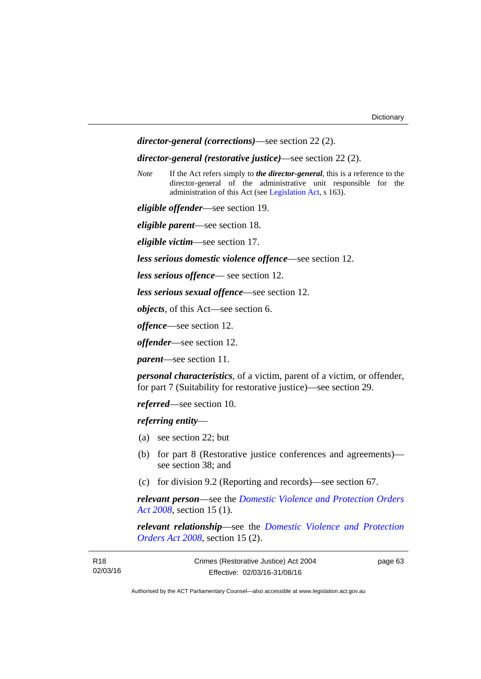```
director-general (corrections)—see section 22 (2).
```
#### *director-general (restorative justice)*—see section 22 (2).

*Note* If the Act refers simply to *the director-general*, this is a reference to the director-general of the administrative unit responsible for the administration of this Act (see [Legislation Act,](http://www.legislation.act.gov.au/a/2001-14) s 163).

*eligible offender*—see section 19.

*eligible parent*—see section 18.

*eligible victim*—see section 17.

*less serious domestic violence offence*—see section 12.

*less serious offence*— see section 12.

*less serious sexual offence*—see section 12.

*objects*, of this Act—see section 6.

*offence*—see section 12.

*offender*—see section 12.

*parent*—see section 11.

*personal characteristics*, of a victim, parent of a victim, or offender, for part 7 (Suitability for restorative justice)—see section 29.

*referred*—see section 10.

*referring entity*—

- (a) see section 22; but
- (b) for part 8 (Restorative justice conferences and agreements) see section 38; and
- (c) for division 9.2 (Reporting and records)—see section 67.

*relevant person*—see the *[Domestic Violence and Protection Orders](http://www.legislation.act.gov.au/a/2008-46)  [Act 2008](http://www.legislation.act.gov.au/a/2008-46)*, section 15 (1).

*relevant relationship*—see the *[Domestic Violence and Protection](http://www.legislation.act.gov.au/a/2008-46)  [Orders Act 2008](http://www.legislation.act.gov.au/a/2008-46)*, section 15 (2).

| R18      | Crimes (Restorative Justice) Act 2004 | page 63 |
|----------|---------------------------------------|---------|
| 02/03/16 | Effective: 02/03/16-31/08/16          |         |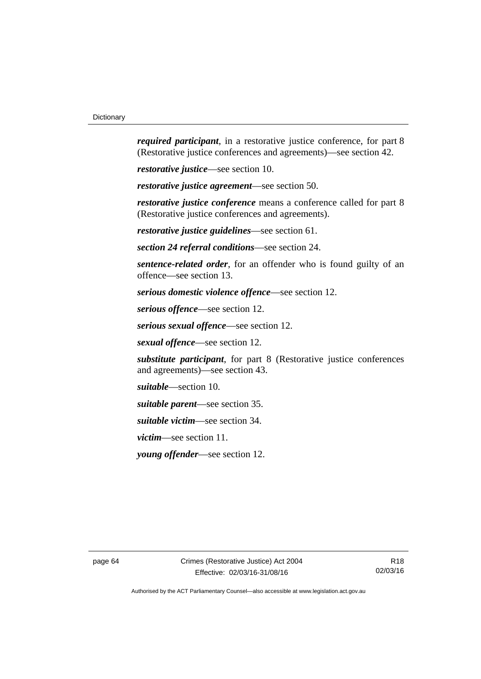*required participant*, in a restorative justice conference, for part 8 (Restorative justice conferences and agreements)—see section 42.

*restorative justice*—see section 10.

*restorative justice agreement*—see section 50.

*restorative justice conference* means a conference called for part 8 (Restorative justice conferences and agreements).

*restorative justice guidelines*—see section 61.

*section 24 referral conditions*—see section 24.

*sentence-related order*, for an offender who is found guilty of an offence—see section 13.

*serious domestic violence offence*—see section 12.

*serious offence*—see section 12.

*serious sexual offence*—see section 12.

*sexual offence*—see section 12.

*substitute participant*, for part 8 (Restorative justice conferences and agreements)—see section 43.

*suitable*—section 10.

*suitable parent*—see section 35.

*suitable victim*—see section 34.

*victim*—see section 11.

*young offender*—see section 12.

page 64 Crimes (Restorative Justice) Act 2004 Effective: 02/03/16-31/08/16

R18 02/03/16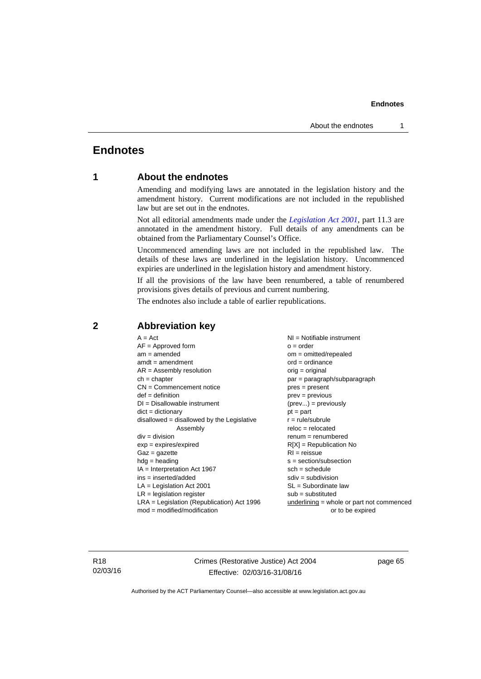#### **Endnotes**

## **Endnotes**

#### **1 About the endnotes**

Amending and modifying laws are annotated in the legislation history and the amendment history. Current modifications are not included in the republished law but are set out in the endnotes.

Not all editorial amendments made under the *[Legislation Act 2001](http://www.legislation.act.gov.au/a/2001-14)*, part 11.3 are annotated in the amendment history. Full details of any amendments can be obtained from the Parliamentary Counsel's Office.

Uncommenced amending laws are not included in the republished law. The details of these laws are underlined in the legislation history. Uncommenced expiries are underlined in the legislation history and amendment history.

If all the provisions of the law have been renumbered, a table of renumbered provisions gives details of previous and current numbering.

The endnotes also include a table of earlier republications.

| $A = Act$                                    | $NI =$ Notifiable instrument                |
|----------------------------------------------|---------------------------------------------|
| $AF =$ Approved form                         | $o = order$                                 |
| $am = amended$                               | $om = omitted/repealed$                     |
| $amdt = amendment$                           | $ord = ordinance$                           |
| $AR = Assembly$ resolution                   | $orig = original$                           |
| $ch = chapter$                               | par = paragraph/subparagraph                |
| $CN =$ Commencement notice                   | $pres = present$                            |
| $def = definition$                           | $prev = previous$                           |
| $DI = Disallowable instrument$               | $(\text{prev}) = \text{previously}$         |
| $dict = dictionary$                          | $pt = part$                                 |
| $disallowed = disallowed by the Legislative$ | $r = rule/subrule$                          |
| Assembly                                     | $reloc = relocated$                         |
| $div = division$                             | $renum = renumbered$                        |
| $exp = expires/expired$                      | $R[X]$ = Republication No                   |
| $Gaz = gazette$                              | $RI = reissue$                              |
| $hdg =$ heading                              | $s = section/subsection$                    |
| IA = Interpretation Act 1967                 | $sch = schedule$                            |
| $ins = inserted/added$                       | $sdiv = subdivision$                        |
| $LA =$ Legislation Act 2001                  | $SL = Subordinate$ law                      |
| $LR =$ legislation register                  | $sub =$ substituted                         |
|                                              |                                             |
|                                              |                                             |
| $LRA =$ Legislation (Republication) Act 1996 | $underlining = whole or part not commenced$ |
| $mod = modified/modification$                | or to be expired                            |

#### **2 Abbreviation key**

R18 02/03/16 Crimes (Restorative Justice) Act 2004 Effective: 02/03/16-31/08/16

page 65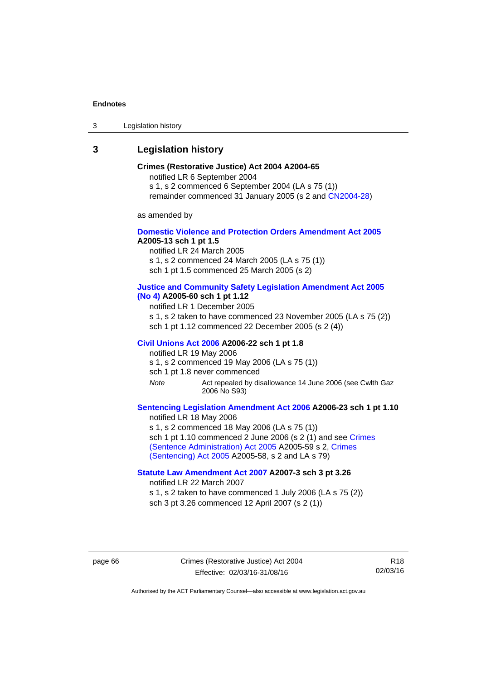#### **Endnotes**

3 Legislation history

#### **3 Legislation history**

#### **Crimes (Restorative Justice) Act 2004 A2004-65**

notified LR 6 September 2004

s 1, s 2 commenced 6 September 2004 (LA s 75 (1))

remainder commenced 31 January 2005 (s 2 and [CN2004-28\)](http://www.legislation.act.gov.au/cn/2004-28/default.asp)

as amended by

#### **[Domestic Violence and Protection Orders Amendment Act 2005](http://www.legislation.act.gov.au/a/2005-13) A2005-13 sch 1 pt 1.5**

notified LR 24 March 2005

s 1, s 2 commenced 24 March 2005 (LA s 75 (1)) sch 1 pt 1.5 commenced 25 March 2005 (s 2)

# **[Justice and Community Safety Legislation Amendment Act 2005](http://www.legislation.act.gov.au/a/2005-60)**

## **[\(No 4\)](http://www.legislation.act.gov.au/a/2005-60) A2005-60 sch 1 pt 1.12**

notified LR 1 December 2005

s 1, s 2 taken to have commenced 23 November 2005 (LA s 75 (2)) sch 1 pt 1.12 commenced 22 December 2005 (s 2 (4))

#### **[Civil Unions Act 2006](http://www.legislation.act.gov.au/a/2006-22) A2006-22 sch 1 pt 1.8**

notified LR 19 May 2006

s 1, s 2 commenced 19 May 2006 (LA s 75 (1)) sch 1 pt 1.8 never commenced

*Note* Act repealed by disallowance 14 June 2006 (see Cwlth Gaz 2006 No S93)

#### **[Sentencing Legislation Amendment Act 2006](http://www.legislation.act.gov.au/a/2006-23) A2006-23 sch 1 pt 1.10**

notified LR 18 May 2006 s 1, s 2 commenced 18 May 2006 (LA s 75 (1)) sch 1 pt 1.10 commenced 2 June 2006 (s 2 (1) and see Crimes [\(Sentence Administration\) Act 2005](http://www.legislation.act.gov.au/a/2005-59) A2005-59 s 2, [Crimes](http://www.legislation.act.gov.au/a/2005-58)  [\(Sentencing\) Act 2005](http://www.legislation.act.gov.au/a/2005-58) A2005-58, s 2 and LA s 79)

#### **[Statute Law Amendment Act 2007](http://www.legislation.act.gov.au/a/2007-3) A2007-3 sch 3 pt 3.26**

notified LR 22 March 2007

s 1, s 2 taken to have commenced 1 July 2006 (LA s 75 (2)) sch 3 pt 3.26 commenced 12 April 2007 (s 2 (1))

page 66 Crimes (Restorative Justice) Act 2004 Effective: 02/03/16-31/08/16

R18 02/03/16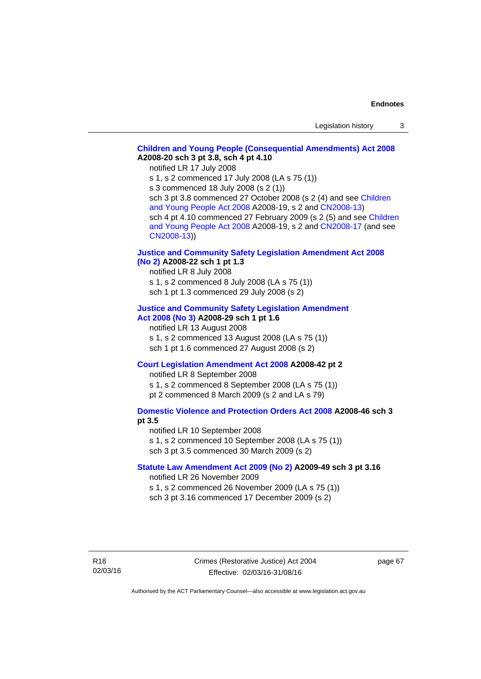## **[Children and Young People \(Consequential Amendments\) Act 2008](http://www.legislation.act.gov.au/a/2008-20) A2008-20 sch 3 pt 3.8, sch 4 pt 4.10**

notified LR 17 July 2008

s 1, s 2 commenced 17 July 2008 (LA s 75 (1))

s 3 commenced 18 July 2008 (s 2 (1))

sch 3 pt 3.8 commenced 27 October 2008 (s 2 (4) and see [Children](http://www.legislation.act.gov.au/a/2008-19)  [and Young People Act 2008](http://www.legislation.act.gov.au/a/2008-19) A2008-19, s 2 and [CN2008-13](http://www.legislation.act.gov.au/cn/2008-13/default.asp)) sch 4 pt 4.10 commenced 27 February 2009 (s 2 (5) and see [Children](http://www.legislation.act.gov.au/a/2008-19)  [and Young People Act 2008](http://www.legislation.act.gov.au/a/2008-19) A2008-19, s 2 and [CN2008-17 \(](http://www.legislation.act.gov.au/cn/2008-17/default.asp)and see [CN2008-13](http://www.legislation.act.gov.au/cn/2008-13/default.asp)))

### **[Justice and Community Safety Legislation Amendment Act 2008](http://www.legislation.act.gov.au/a/2008-22)  [\(No 2\)](http://www.legislation.act.gov.au/a/2008-22) A2008-22 sch 1 pt 1.3**

notified LR 8 July 2008 s 1, s 2 commenced 8 July 2008 (LA s 75 (1)) sch 1 pt 1.3 commenced 29 July 2008 (s 2)

### **[Justice and Community Safety Legislation Amendment](http://www.legislation.act.gov.au/a/2008-29)  [Act 2008 \(No 3\)](http://www.legislation.act.gov.au/a/2008-29) A2008-29 sch 1 pt 1.6**

notified LR 13 August 2008 s 1, s 2 commenced 13 August 2008 (LA s 75 (1)) sch 1 pt 1.6 commenced 27 August 2008 (s 2)

## **[Court Legislation Amendment Act 2008](http://www.legislation.act.gov.au/a/2008-42) A2008-42 pt 2**

notified LR 8 September 2008 s 1, s 2 commenced 8 September 2008 (LA s 75 (1)) pt 2 commenced 8 March 2009 (s 2 and LA s 79)

## **[Domestic Violence and Protection Orders Act 2008](http://www.legislation.act.gov.au/a/2008-46) A2008-46 sch 3 pt 3.5**

notified LR 10 September 2008 s 1, s 2 commenced 10 September 2008 (LA s 75 (1)) sch 3 pt 3.5 commenced 30 March 2009 (s 2)

### **[Statute Law Amendment Act 2009 \(No 2\)](http://www.legislation.act.gov.au/a/2009-49) A2009-49 sch 3 pt 3.16**  notified LR 26 November 2009

s 1, s 2 commenced 26 November 2009 (LA s 75 (1)) sch 3 pt 3.16 commenced 17 December 2009 (s 2)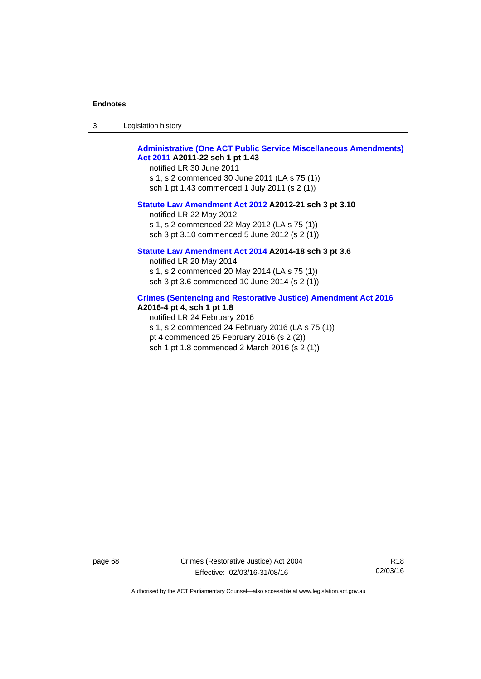| -3 | Legislation history |  |
|----|---------------------|--|
|----|---------------------|--|

# **[Administrative \(One ACT Public Service Miscellaneous Amendments\)](http://www.legislation.act.gov.au/a/2011-22)  [Act 2011](http://www.legislation.act.gov.au/a/2011-22) A2011-22 sch 1 pt 1.43**

notified LR 30 June 2011 s 1, s 2 commenced 30 June 2011 (LA s 75 (1)) sch 1 pt 1.43 commenced 1 July 2011 (s 2 (1))

#### **[Statute Law Amendment Act 2012](http://www.legislation.act.gov.au/a/2012-21) A2012-21 sch 3 pt 3.10**

notified LR 22 May 2012 s 1, s 2 commenced 22 May 2012 (LA s 75 (1)) sch 3 pt 3.10 commenced 5 June 2012 (s 2 (1))

## **[Statute Law Amendment Act 2014](http://www.legislation.act.gov.au/a/2014-18) A2014-18 sch 3 pt 3.6**

notified LR 20 May 2014 s 1, s 2 commenced 20 May 2014 (LA s 75 (1)) sch 3 pt 3.6 commenced 10 June 2014 (s 2 (1))

### **[Crimes \(Sentencing and Restorative Justice\) Amendment Act 2016](http://www.legislation.act.gov.au/a/2016-4/default.asp) A2016-4 pt 4, sch 1 pt 1.8**

notified LR 24 February 2016 s 1, s 2 commenced 24 February 2016 (LA s 75 (1)) pt 4 commenced 25 February 2016 (s 2 (2)) sch 1 pt 1.8 commenced 2 March 2016 (s 2 (1))

page 68 Crimes (Restorative Justice) Act 2004 Effective: 02/03/16-31/08/16

R18 02/03/16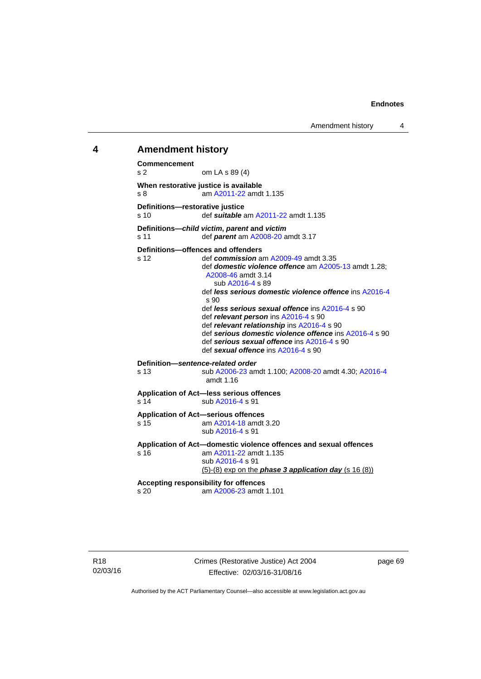Amendment history 4

## **4 Amendment history**

**Commencement**  s 2 om LA s 89 (4) **When restorative justice is available**  s 8 am [A2011-22](http://www.legislation.act.gov.au/a/2011-22) amdt 1.135 **Definitions—restorative justice**  s 10 def *suitable* am [A2011-22](http://www.legislation.act.gov.au/a/2011-22) amdt 1.135 **Definitions—***child victim***,** *parent* **and** *victim* s 11 def *parent* am [A2008-20](http://www.legislation.act.gov.au/a/2008-20) amdt 3.17 **Definitions—offences and offenders**  s 12 def *commission* am [A2009-49](http://www.legislation.act.gov.au/a/2009-49) amdt 3.35 def *domestic violence offence* am [A2005-13](http://www.legislation.act.gov.au/a/2005-13) amdt 1.28; [A2008-46](http://www.legislation.act.gov.au/a/2008-46) amdt 3.14 sub [A2016-4](http://www.legislation.act.gov.au/a/2016-4/default.asp) s 89 def *less serious domestic violence offence* ins [A2016-4](http://www.legislation.act.gov.au/a/2016-4/default.asp) s 90 def *less serious sexual offence* ins [A2016-4](http://www.legislation.act.gov.au/a/2016-4/default.asp) s 90 def *relevant person* ins [A2016-4](http://www.legislation.act.gov.au/a/2016-4/default.asp) s 90 def *relevant relationship* ins [A2016-4](http://www.legislation.act.gov.au/a/2016-4/default.asp) s 90 def *serious domestic violence offence* ins [A2016-4](http://www.legislation.act.gov.au/a/2016-4/default.asp) s 90 def *serious sexual offence* ins [A2016-4](http://www.legislation.act.gov.au/a/2016-4/default.asp) s 90 def *sexual offence* ins [A2016-4](http://www.legislation.act.gov.au/a/2016-4/default.asp) s 90 **Definition—***sentence-related order*  s 13 sub [A2006-23](http://www.legislation.act.gov.au/a/2006-23) amdt 1.100; [A2008-20](http://www.legislation.act.gov.au/a/2008-20) amdt 4.30; [A2016-4](http://www.legislation.act.gov.au/a/2016-4/default.asp) amdt 1.16 **Application of Act—less serious offences**  s 14 sub [A2016-4](http://www.legislation.act.gov.au/a/2016-4/default.asp) s 91 **Application of Act—serious offences**  s 15 am [A2014-18](http://www.legislation.act.gov.au/a/2014-18) amdt 3.20 sub [A2016-4](http://www.legislation.act.gov.au/a/2016-4/default.asp) s 91 **Application of Act—domestic violence offences and sexual offences**  s 16 am [A2011-22](http://www.legislation.act.gov.au/a/2011-22) amdt 1.135 sub [A2016-4](http://www.legislation.act.gov.au/a/2016-4/default.asp) s 91 (5)-(8) exp on the *phase 3 application day* (s 16 (8)) **Accepting responsibility for offences**  am [A2006-23](http://www.legislation.act.gov.au/a/2006-23) amdt 1.101

page 69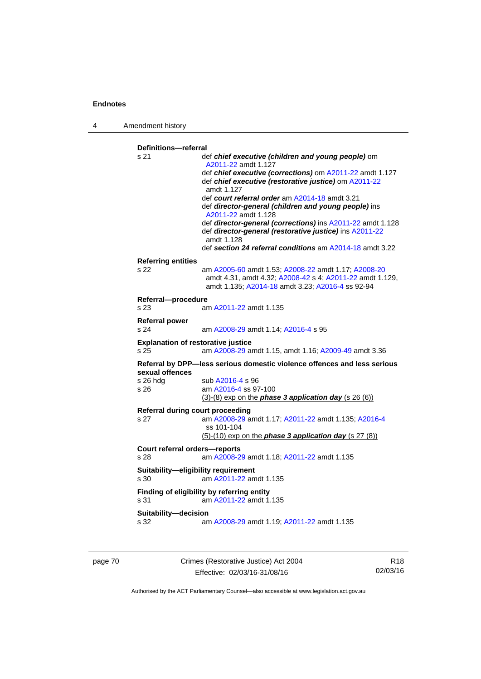4 Amendment history

```
Definitions—referral 
s 21 def chief executive (children and young people) om 
                  A2011-22 amdt 1.127 
                  def chief executive (corrections) om A2011-22 amdt 1.127 
                  def chief executive (restorative justice) om A2011-22
                  amdt 1.127
                  def court referral order am A2014-18 amdt 3.21 
                  def director-general (children and young people) ins 
                  A2011-22 amdt 1.128 
                  def director-general (corrections) ins A2011-22 amdt 1.128 
                  def director-general (restorative justice) ins A2011-22
                  amdt 1.128
                  def section 24 referral conditions am A2014-18 amdt 3.22 
Referring entities 
s 22 am A2005-60 amdt 1.53; A2008-22 amdt 1.17; A2008-20
                  amdt 4.31, amdt 4.32; A2008-42 s 4; A2011-22 amdt 1.129, 
                  amdt 1.135; A2014-18 amdt 3.23; A2016-4 ss 92-94 
Referral—procedure 
s 23 am A2011-22 amdt 1.135
Referral power 
s 24 am A2008-29 amdt 1.14; A2016-4 s 95 
Explanation of restorative justice 
s 25 am A2008-29 amdt 1.15, amdt 1.16; A2009-49 amdt 3.36 
Referral by DPP—less serious domestic violence offences and less serious 
sexual offences 
A2016-4 s 96
s 26 am A2016-4 ss 97-100 
                 (3)-(8) exp on the phase 3 application day (s 26 (6))
Referral during court proceeding 
s 27 am A2008-29 amdt 1.17; A2011-22 amdt 1.135; A2016-4
                  ss 101-104 
                 (5)-(10) exp on the phase 3 application day (s 27 (8))
Court referral orders—reports 
s 28 am A2008-29 amdt 1.18; A2011-22 amdt 1.135 
Suitability—eligibility requirement 
s 30 am A2011-22 amdt 1.135
Finding of eligibility by referring entity 
s 31 am A2011-22 amdt 1.135
Suitability—decision 
s 32 am A2008-29 amdt 1.19; A2011-22 amdt 1.135
```
page 70 Crimes (Restorative Justice) Act 2004 Effective: 02/03/16-31/08/16

R18 02/03/16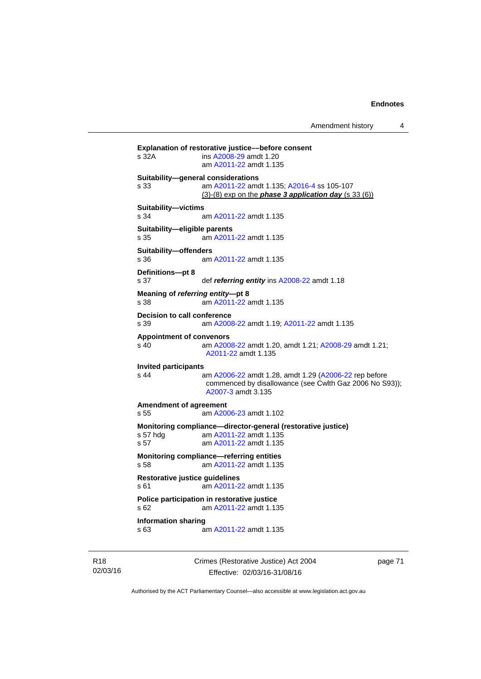Amendment history 4

**Explanation of restorative justice––before consent**  s 32A ins [A2008-29](http://www.legislation.act.gov.au/a/2008-29) amdt 1.20 am [A2011-22](http://www.legislation.act.gov.au/a/2011-22) amdt 1.135 **Suitability—general considerations**  s 33 am [A2011-22](http://www.legislation.act.gov.au/a/2011-22) amdt 1.135; [A2016-4](http://www.legislation.act.gov.au/a/2016-4/default.asp) ss 105-107 (3)-(8) exp on the *phase 3 application day* (s 33 (6)) **Suitability—victims**  s 34 am [A2011-22](http://www.legislation.act.gov.au/a/2011-22) amdt 1.135 **Suitability—eligible parents**  s 35 am [A2011-22](http://www.legislation.act.gov.au/a/2011-22) amdt 1.135 **Suitability—offenders**  s 36 am [A2011-22](http://www.legislation.act.gov.au/a/2011-22) amdt 1.135 **Definitions—pt 8**  s 37 def *referring entity* ins [A2008-22](http://www.legislation.act.gov.au/a/2008-22) amdt 1.18 **Meaning of** *referring entity***—pt 8**  s 38 am [A2011-22](http://www.legislation.act.gov.au/a/2011-22) amdt 1.135 **Decision to call conference**  s 39 am [A2008-22](http://www.legislation.act.gov.au/a/2008-22) amdt 1.19; [A2011-22](http://www.legislation.act.gov.au/a/2011-22) amdt 1.135 **Appointment of convenors**  s 40 am [A2008-22](http://www.legislation.act.gov.au/a/2008-22) amdt 1.20, amdt 1.21; [A2008-29](http://www.legislation.act.gov.au/a/2008-29) amdt 1.21; [A2011-22](http://www.legislation.act.gov.au/a/2011-22) amdt 1.135 **Invited participants**  s 44 am [A2006-22](http://www.legislation.act.gov.au/a/2006-22) amdt 1.28, amdt 1.29 [\(A2006-22](http://www.legislation.act.gov.au/a/2006-22) rep before commenced by disallowance (see Cwlth Gaz 2006 No S93)); [A2007-3](http://www.legislation.act.gov.au/a/2007-3) amdt 3.135 **Amendment of agreement**  s 55 am [A2006-23](http://www.legislation.act.gov.au/a/2006-23) amdt 1.102 **Monitoring compliance—director-general (restorative justice)**  s 57 hdg am [A2011-22](http://www.legislation.act.gov.au/a/2011-22) amdt 1.135 s 57 am [A2011-22](http://www.legislation.act.gov.au/a/2011-22) amdt 1.135 **Monitoring compliance—referring entities**  s 58 am [A2011-22](http://www.legislation.act.gov.au/a/2011-22) amdt 1.135 **Restorative justice guidelines**  s 61 am [A2011-22](http://www.legislation.act.gov.au/a/2011-22) amdt 1.135 **Police participation in restorative justice**  s 62 am [A2011-22](http://www.legislation.act.gov.au/a/2011-22) amdt 1.135 **Information sharing**  s 63 am [A2011-22](http://www.legislation.act.gov.au/a/2011-22) amdt 1.135

R18 02/03/16 Crimes (Restorative Justice) Act 2004 Effective: 02/03/16-31/08/16

page 71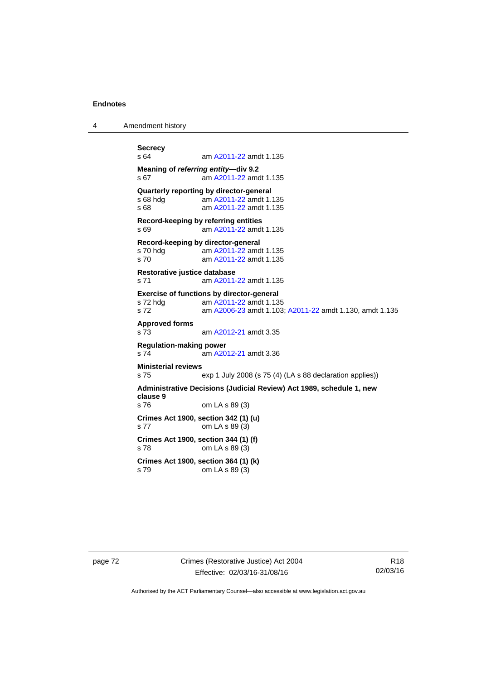4 Amendment history

```
Secrecy 
                 A2011-22 amdt 1.135
Meaning of referring entity—div 9.2 
s 67 am A2011-22 amdt 1.135
Quarterly reporting by director-general<br>
s 68 hdg am A2011-22 amdt 1.
                 A2011-22 amdt 1.135
s 68 am A2011-22 amdt 1.135
Record-keeping by referring entities 
s 69 am A2011-22 amdt 1.135
Record-keeping by director-general 
 A2011-22 amdt 1.135<br>s 70 am A2011-22 amdt 1.135
                 A2011-22 amdt 1.135
Restorative justice database 
s 71 am A2011-22 amdt 1.135
Exercise of functions by director-general 
 A2011-22 amdt 1.135<br>s 72 am A2006-23 amdt 1.103
                 A2006-23A2011-22 amdt 1.130, amdt 1.135
Approved forms 
s 73 am A2012-21 amdt 3.35
Regulation-making power 
s 74 am A2012-21 amdt 3.36
Ministerial reviews 
s 75 exp 1 July 2008 (s 75 (4) (LA s 88 declaration applies)) 
Administrative Decisions (Judicial Review) Act 1989, schedule 1, new 
clause 9 
s 76 om LA s 89 (3) 
Crimes Act 1900, section 342 (1) (u) 
s 77 om LA s 89 (3) 
Crimes Act 1900, section 344 (1) (f) 
s 78 om LA s 89 (3) 
Crimes Act 1900, section 364 (1) (k) 
s 79 om LA s 89 (3)
```
page 72 Crimes (Restorative Justice) Act 2004 Effective: 02/03/16-31/08/16

R18 02/03/16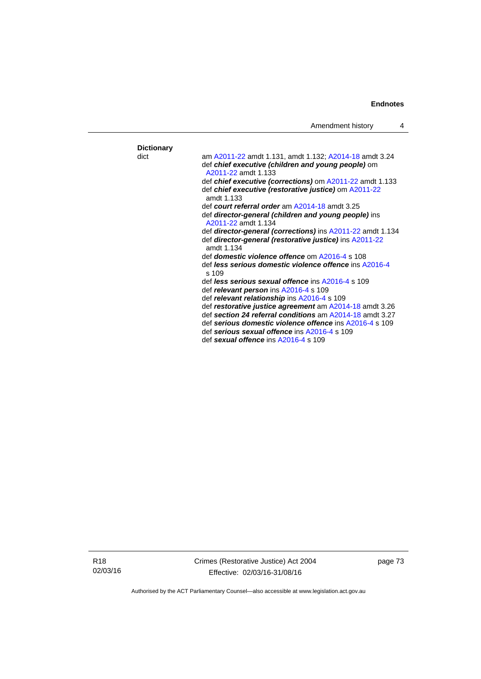| Amendment history |  |
|-------------------|--|
|-------------------|--|

| <b>Dictionary</b> |                                                                                                                   |
|-------------------|-------------------------------------------------------------------------------------------------------------------|
| dict              | am A2011-22 amdt 1.131, amdt 1.132; A2014-18 amdt 3.24                                                            |
|                   | def chief executive (children and young people) om<br>A2011-22 amdt 1 133                                         |
|                   |                                                                                                                   |
|                   | def chief executive (corrections) om A2011-22 amdt 1.133<br>def chief executive (restorative justice) om A2011-22 |
|                   | amdt 1.133                                                                                                        |
|                   | def court referral order am A2014-18 amdt 3.25                                                                    |
|                   | def director-general (children and young people) ins                                                              |
|                   | A2011-22 amdt 1.134                                                                                               |
|                   | def <b>director-general (corrections)</b> ins A2011-22 amdt 1.134                                                 |
|                   | def director-general (restorative justice) ins A2011-22<br>amdt 1.134                                             |
|                   | def <b>domestic violence offence</b> om A2016-4 s 108                                                             |
|                   | def less serious domestic violence offence ins A2016-4<br>s.109                                                   |
|                   | def less serious sexual offence ins A2016-4 s 109                                                                 |
|                   | def relevant person ins A2016-4 s 109                                                                             |
|                   | def relevant relationship ins A2016-4 s 109                                                                       |
|                   | def restorative justice agreement am A2014-18 amdt 3.26                                                           |
|                   | def section 24 referral conditions am A2014-18 amdt 3.27                                                          |
|                   | def serious domestic violence offence ins A2016-4 s 109                                                           |
|                   | def serious sexual offence ins A2016-4 s 109                                                                      |
|                   | def sexual offence ins A2016-4 s 109                                                                              |

R18 02/03/16 Crimes (Restorative Justice) Act 2004 Effective: 02/03/16-31/08/16

page 73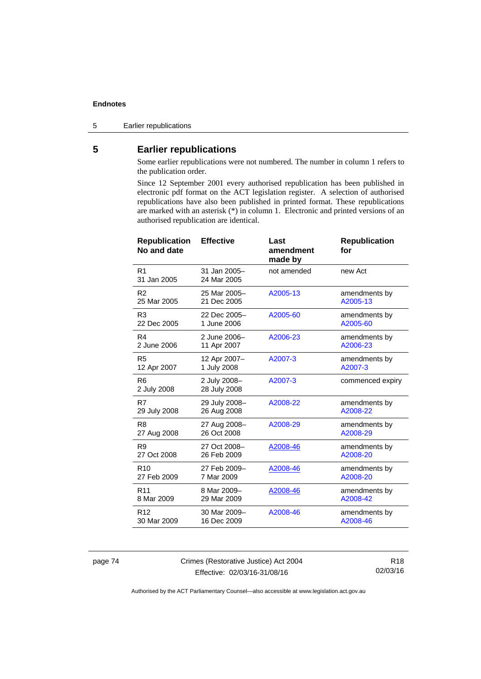5 Earlier republications

# **5 Earlier republications**

Some earlier republications were not numbered. The number in column 1 refers to the publication order.

Since 12 September 2001 every authorised republication has been published in electronic pdf format on the ACT legislation register. A selection of authorised republications have also been published in printed format. These republications are marked with an asterisk (\*) in column 1. Electronic and printed versions of an authorised republication are identical.

| <b>Republication</b><br>No and date | <b>Effective</b>             | Last<br>amendment<br>made by | <b>Republication</b><br>for |
|-------------------------------------|------------------------------|------------------------------|-----------------------------|
| R <sub>1</sub><br>31 Jan 2005       | 31 Jan 2005-<br>24 Mar 2005  | not amended                  | new Act                     |
| R <sub>2</sub>                      | 25 Mar 2005-                 | A2005-13                     | amendments by               |
| 25 Mar 2005                         | 21 Dec 2005                  |                              | A2005-13                    |
| R <sub>3</sub>                      | 22 Dec 2005-                 | A2005-60                     | amendments by               |
| 22 Dec 2005                         | 1 June 2006                  |                              | A2005-60                    |
| R4                                  | 2 June 2006-                 | A2006-23                     | amendments by               |
| 2 June 2006                         | 11 Apr 2007                  |                              | A2006-23                    |
| R <sub>5</sub>                      | 12 Apr 2007-                 | A2007-3                      | amendments by               |
| 12 Apr 2007                         | 1 July 2008                  |                              | A2007-3                     |
| R <sub>6</sub><br>2 July 2008       | 2 July 2008-<br>28 July 2008 | A2007-3                      | commenced expiry            |
| R7                                  | 29 July 2008-                | A2008-22                     | amendments by               |
| 29 July 2008                        | 26 Aug 2008                  |                              | A2008-22                    |
| R <sub>8</sub>                      | 27 Aug 2008-                 | A2008-29                     | amendments by               |
| 27 Aug 2008                         | 26 Oct 2008                  |                              | A2008-29                    |
| R <sub>9</sub>                      | 27 Oct 2008-                 | A2008-46                     | amendments by               |
| 27 Oct 2008                         | 26 Feb 2009                  |                              | A2008-20                    |
| R <sub>10</sub>                     | 27 Feb 2009-                 | A2008-46                     | amendments by               |
| 27 Feb 2009                         | 7 Mar 2009                   |                              | A2008-20                    |
| R <sub>11</sub>                     | 8 Mar 2009-                  | A2008-46                     | amendments by               |
| 8 Mar 2009                          | 29 Mar 2009                  |                              | A2008-42                    |
| R <sub>12</sub>                     | 30 Mar 2009-                 | A2008-46                     | amendments by               |
| 30 Mar 2009                         | 16 Dec 2009                  |                              | A2008-46                    |

page 74 Crimes (Restorative Justice) Act 2004 Effective: 02/03/16-31/08/16

R18 02/03/16